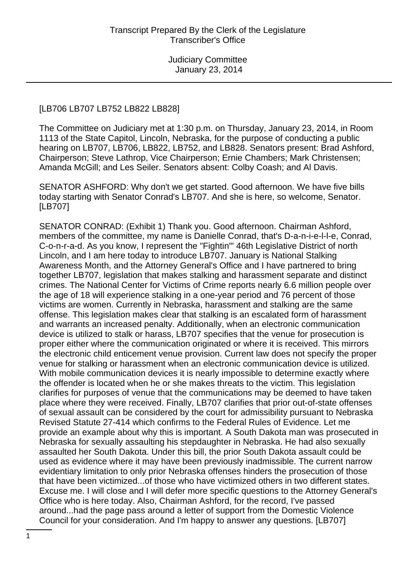#### [LB706 LB707 LB752 LB822 LB828]

The Committee on Judiciary met at 1:30 p.m. on Thursday, January 23, 2014, in Room 1113 of the State Capitol, Lincoln, Nebraska, for the purpose of conducting a public hearing on LB707, LB706, LB822, LB752, and LB828. Senators present: Brad Ashford, Chairperson; Steve Lathrop, Vice Chairperson; Ernie Chambers; Mark Christensen; Amanda McGill; and Les Seiler. Senators absent: Colby Coash; and Al Davis.

SENATOR ASHFORD: Why don't we get started. Good afternoon. We have five bills today starting with Senator Conrad's LB707. And she is here, so welcome, Senator. [LB707]

SENATOR CONRAD: (Exhibit 1) Thank you. Good afternoon. Chairman Ashford, members of the committee, my name is Danielle Conrad, that's D-a-n-i-e-l-l-e, Conrad, C-o-n-r-a-d. As you know, I represent the "Fightin'" 46th Legislative District of north Lincoln, and I am here today to introduce LB707. January is National Stalking Awareness Month, and the Attorney General's Office and I have partnered to bring together LB707, legislation that makes stalking and harassment separate and distinct crimes. The National Center for Victims of Crime reports nearly 6.6 million people over the age of 18 will experience stalking in a one-year period and 76 percent of those victims are women. Currently in Nebraska, harassment and stalking are the same offense. This legislation makes clear that stalking is an escalated form of harassment and warrants an increased penalty. Additionally, when an electronic communication device is utilized to stalk or harass, LB707 specifies that the venue for prosecution is proper either where the communication originated or where it is received. This mirrors the electronic child enticement venue provision. Current law does not specify the proper venue for stalking or harassment when an electronic communication device is utilized. With mobile communication devices it is nearly impossible to determine exactly where the offender is located when he or she makes threats to the victim. This legislation clarifies for purposes of venue that the communications may be deemed to have taken place where they were received. Finally, LB707 clarifies that prior out-of-state offenses of sexual assault can be considered by the court for admissibility pursuant to Nebraska Revised Statute 27-414 which confirms to the Federal Rules of Evidence. Let me provide an example about why this is important. A South Dakota man was prosecuted in Nebraska for sexually assaulting his stepdaughter in Nebraska. He had also sexually assaulted her South Dakota. Under this bill, the prior South Dakota assault could be used as evidence where it may have been previously inadmissible. The current narrow evidentiary limitation to only prior Nebraska offenses hinders the prosecution of those that have been victimized...of those who have victimized others in two different states. Excuse me. I will close and I will defer more specific questions to the Attorney General's Office who is here today. Also, Chairman Ashford, for the record, I've passed around...had the page pass around a letter of support from the Domestic Violence Council for your consideration. And I'm happy to answer any questions. [LB707]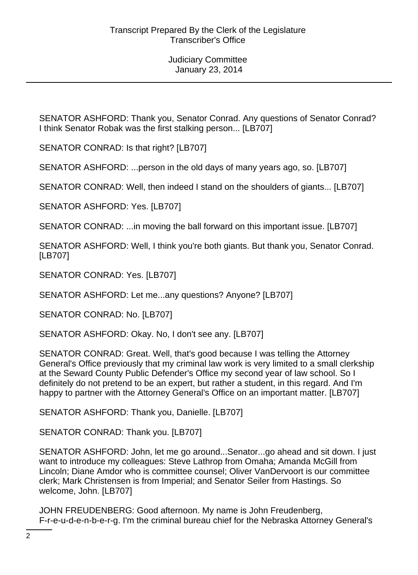SENATOR ASHFORD: Thank you, Senator Conrad. Any questions of Senator Conrad? I think Senator Robak was the first stalking person... [LB707]

SENATOR CONRAD: Is that right? [LB707]

SENATOR ASHFORD: ...person in the old days of many years ago, so. [LB707]

SENATOR CONRAD: Well, then indeed I stand on the shoulders of giants... [LB707]

SENATOR ASHFORD: Yes. [LB707]

SENATOR CONRAD: ...in moving the ball forward on this important issue. [LB707]

SENATOR ASHFORD: Well, I think you're both giants. But thank you, Senator Conrad. [LB707]

SENATOR CONRAD: Yes. [LB707]

SENATOR ASHFORD: Let me...any questions? Anyone? [LB707]

SENATOR CONRAD: No. [LB707]

SENATOR ASHFORD: Okay. No, I don't see any. [LB707]

SENATOR CONRAD: Great. Well, that's good because I was telling the Attorney General's Office previously that my criminal law work is very limited to a small clerkship at the Seward County Public Defender's Office my second year of law school. So I definitely do not pretend to be an expert, but rather a student, in this regard. And I'm happy to partner with the Attorney General's Office on an important matter. [LB707]

SENATOR ASHFORD: Thank you, Danielle. [LB707]

SENATOR CONRAD: Thank you. [LB707]

SENATOR ASHFORD: John, let me go around...Senator...go ahead and sit down. I just want to introduce my colleagues: Steve Lathrop from Omaha; Amanda McGill from Lincoln; Diane Amdor who is committee counsel; Oliver VanDervoort is our committee clerk; Mark Christensen is from Imperial; and Senator Seiler from Hastings. So welcome, John. [LB707]

JOHN FREUDENBERG: Good afternoon. My name is John Freudenberg, F-r-e-u-d-e-n-b-e-r-g. I'm the criminal bureau chief for the Nebraska Attorney General's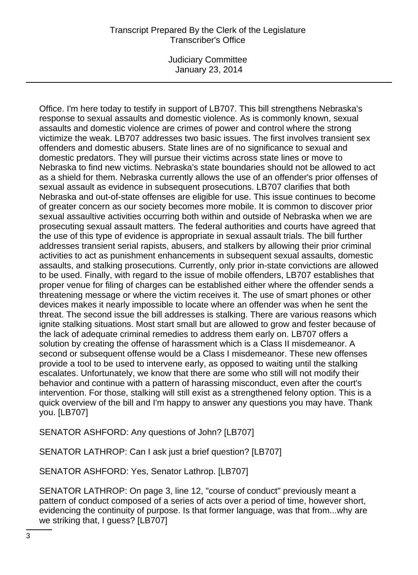Judiciary Committee January 23, 2014

Office. I'm here today to testify in support of LB707. This bill strengthens Nebraska's response to sexual assaults and domestic violence. As is commonly known, sexual assaults and domestic violence are crimes of power and control where the strong victimize the weak. LB707 addresses two basic issues. The first involves transient sex offenders and domestic abusers. State lines are of no significance to sexual and domestic predators. They will pursue their victims across state lines or move to Nebraska to find new victims. Nebraska's state boundaries should not be allowed to act as a shield for them. Nebraska currently allows the use of an offender's prior offenses of sexual assault as evidence in subsequent prosecutions. LB707 clarifies that both Nebraska and out-of-state offenses are eligible for use. This issue continues to become of greater concern as our society becomes more mobile. It is common to discover prior sexual assaultive activities occurring both within and outside of Nebraska when we are prosecuting sexual assault matters. The federal authorities and courts have agreed that the use of this type of evidence is appropriate in sexual assault trials. The bill further addresses transient serial rapists, abusers, and stalkers by allowing their prior criminal activities to act as punishment enhancements in subsequent sexual assaults, domestic assaults, and stalking prosecutions. Currently, only prior in-state convictions are allowed to be used. Finally, with regard to the issue of mobile offenders, LB707 establishes that proper venue for filing of charges can be established either where the offender sends a threatening message or where the victim receives it. The use of smart phones or other devices makes it nearly impossible to locate where an offender was when he sent the threat. The second issue the bill addresses is stalking. There are various reasons which ignite stalking situations. Most start small but are allowed to grow and fester because of the lack of adequate criminal remedies to address them early on. LB707 offers a solution by creating the offense of harassment which is a Class II misdemeanor. A second or subsequent offense would be a Class I misdemeanor. These new offenses provide a tool to be used to intervene early, as opposed to waiting until the stalking escalates. Unfortunately, we know that there are some who still will not modify their behavior and continue with a pattern of harassing misconduct, even after the court's intervention. For those, stalking will still exist as a strengthened felony option. This is a quick overview of the bill and I'm happy to answer any questions you may have. Thank you. [LB707]

SENATOR ASHFORD: Any questions of John? [LB707]

SENATOR LATHROP: Can I ask just a brief question? [LB707]

SENATOR ASHFORD: Yes, Senator Lathrop. [LB707]

SENATOR LATHROP: On page 3, line 12, "course of conduct" previously meant a pattern of conduct composed of a series of acts over a period of time, however short, evidencing the continuity of purpose. Is that former language, was that from...why are we striking that, I guess? [LB707]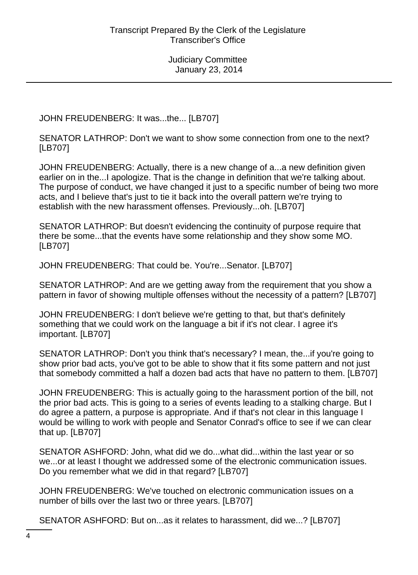JOHN FREUDENBERG: It was...the... [LB707]

SENATOR LATHROP: Don't we want to show some connection from one to the next? [LB707]

JOHN FREUDENBERG: Actually, there is a new change of a...a new definition given earlier on in the...I apologize. That is the change in definition that we're talking about. The purpose of conduct, we have changed it just to a specific number of being two more acts, and I believe that's just to tie it back into the overall pattern we're trying to establish with the new harassment offenses. Previously...oh. [LB707]

SENATOR LATHROP: But doesn't evidencing the continuity of purpose require that there be some...that the events have some relationship and they show some MO. [LB707]

JOHN FREUDENBERG: That could be. You're...Senator. [LB707]

SENATOR LATHROP: And are we getting away from the requirement that you show a pattern in favor of showing multiple offenses without the necessity of a pattern? [LB707]

JOHN FREUDENBERG: I don't believe we're getting to that, but that's definitely something that we could work on the language a bit if it's not clear. I agree it's important. [LB707]

SENATOR LATHROP: Don't you think that's necessary? I mean, the...if you're going to show prior bad acts, you've got to be able to show that it fits some pattern and not just that somebody committed a half a dozen bad acts that have no pattern to them. [LB707]

JOHN FREUDENBERG: This is actually going to the harassment portion of the bill, not the prior bad acts. This is going to a series of events leading to a stalking charge. But I do agree a pattern, a purpose is appropriate. And if that's not clear in this language I would be willing to work with people and Senator Conrad's office to see if we can clear that up. [LB707]

SENATOR ASHFORD: John, what did we do...what did...within the last year or so we...or at least I thought we addressed some of the electronic communication issues. Do you remember what we did in that regard? [LB707]

JOHN FREUDENBERG: We've touched on electronic communication issues on a number of bills over the last two or three years. [LB707]

SENATOR ASHFORD: But on...as it relates to harassment, did we...? [LB707]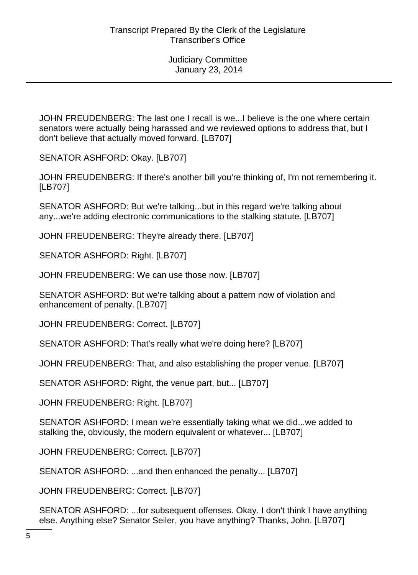JOHN FREUDENBERG: The last one I recall is we...I believe is the one where certain senators were actually being harassed and we reviewed options to address that, but I don't believe that actually moved forward. [LB707]

SENATOR ASHFORD: Okay. [LB707]

JOHN FREUDENBERG: If there's another bill you're thinking of, I'm not remembering it. [LB707]

SENATOR ASHFORD: But we're talking...but in this regard we're talking about any...we're adding electronic communications to the stalking statute. [LB707]

JOHN FREUDENBERG: They're already there. [LB707]

SENATOR ASHFORD: Right. [LB707]

JOHN FREUDENBERG: We can use those now. [LB707]

SENATOR ASHFORD: But we're talking about a pattern now of violation and enhancement of penalty. [LB707]

JOHN FREUDENBERG: Correct. [LB707]

SENATOR ASHFORD: That's really what we're doing here? [LB707]

JOHN FREUDENBERG: That, and also establishing the proper venue. [LB707]

SENATOR ASHFORD: Right, the venue part, but... [LB707]

JOHN FREUDENBERG: Right. [LB707]

SENATOR ASHFORD: I mean we're essentially taking what we did...we added to stalking the, obviously, the modern equivalent or whatever... [LB707]

JOHN FREUDENBERG: Correct. [LB707]

SENATOR ASHFORD: ...and then enhanced the penalty... [LB707]

JOHN FREUDENBERG: Correct. [LB707]

SENATOR ASHFORD: ...for subsequent offenses. Okay. I don't think I have anything else. Anything else? Senator Seiler, you have anything? Thanks, John. [LB707]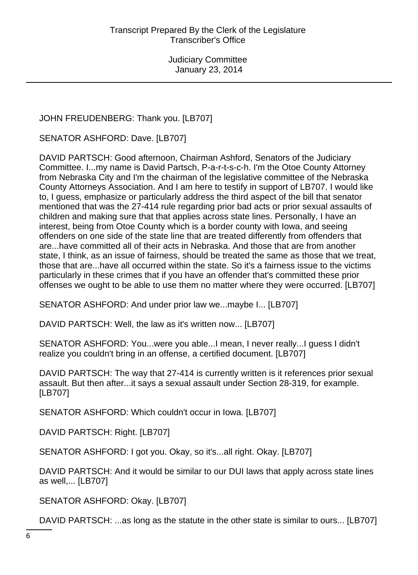# JOHN FREUDENBERG: Thank you. [LB707]

SENATOR ASHFORD: Dave. [LB707]

DAVID PARTSCH: Good afternoon, Chairman Ashford, Senators of the Judiciary Committee. I...my name is David Partsch, P-a-r-t-s-c-h. I'm the Otoe County Attorney from Nebraska City and I'm the chairman of the legislative committee of the Nebraska County Attorneys Association. And I am here to testify in support of LB707. I would like to, I guess, emphasize or particularly address the third aspect of the bill that senator mentioned that was the 27-414 rule regarding prior bad acts or prior sexual assaults of children and making sure that that applies across state lines. Personally, I have an interest, being from Otoe County which is a border county with Iowa, and seeing offenders on one side of the state line that are treated differently from offenders that are...have committed all of their acts in Nebraska. And those that are from another state, I think, as an issue of fairness, should be treated the same as those that we treat, those that are...have all occurred within the state. So it's a fairness issue to the victims particularly in these crimes that if you have an offender that's committed these prior offenses we ought to be able to use them no matter where they were occurred. [LB707]

SENATOR ASHFORD: And under prior law we...maybe I... [LB707]

DAVID PARTSCH: Well, the law as it's written now... [LB707]

SENATOR ASHFORD: You...were you able...I mean, I never really...I guess I didn't realize you couldn't bring in an offense, a certified document. [LB707]

DAVID PARTSCH: The way that 27-414 is currently written is it references prior sexual assault. But then after...it says a sexual assault under Section 28-319, for example. [LB707]

SENATOR ASHFORD: Which couldn't occur in Iowa. [LB707]

DAVID PARTSCH: Right. [LB707]

SENATOR ASHFORD: I got you. Okay, so it's...all right. Okay. [LB707]

DAVID PARTSCH: And it would be similar to our DUI laws that apply across state lines as well,... [LB707]

SENATOR ASHFORD: Okay. [LB707]

DAVID PARTSCH: ...as long as the statute in the other state is similar to ours... [LB707]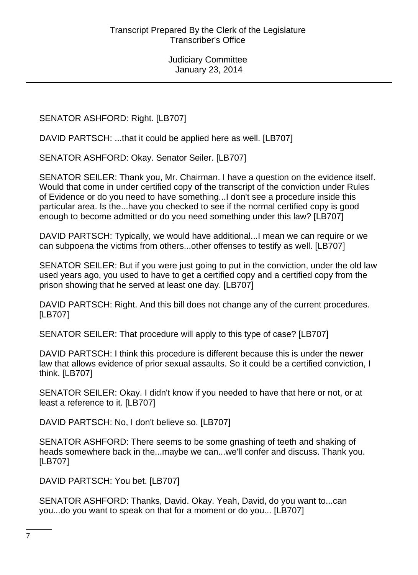SENATOR ASHFORD: Right. [LB707]

DAVID PARTSCH: ...that it could be applied here as well. [LB707]

SENATOR ASHFORD: Okay. Senator Seiler. [LB707]

SENATOR SEILER: Thank you, Mr. Chairman. I have a question on the evidence itself. Would that come in under certified copy of the transcript of the conviction under Rules of Evidence or do you need to have something...I don't see a procedure inside this particular area. Is the...have you checked to see if the normal certified copy is good enough to become admitted or do you need something under this law? [LB707]

DAVID PARTSCH: Typically, we would have additional...I mean we can require or we can subpoena the victims from others...other offenses to testify as well. [LB707]

SENATOR SEILER: But if you were just going to put in the conviction, under the old law used years ago, you used to have to get a certified copy and a certified copy from the prison showing that he served at least one day. [LB707]

DAVID PARTSCH: Right. And this bill does not change any of the current procedures. [LB707]

SENATOR SEILER: That procedure will apply to this type of case? [LB707]

DAVID PARTSCH: I think this procedure is different because this is under the newer law that allows evidence of prior sexual assaults. So it could be a certified conviction, I think. [LB707]

SENATOR SEILER: Okay. I didn't know if you needed to have that here or not, or at least a reference to it. [LB707]

DAVID PARTSCH: No, I don't believe so. [LB707]

SENATOR ASHFORD: There seems to be some gnashing of teeth and shaking of heads somewhere back in the...maybe we can...we'll confer and discuss. Thank you. [LB707]

DAVID PARTSCH: You bet. [LB707]

SENATOR ASHFORD: Thanks, David. Okay. Yeah, David, do you want to...can you...do you want to speak on that for a moment or do you... [LB707]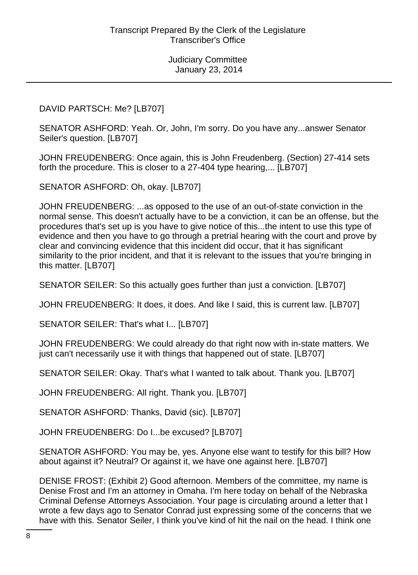#### DAVID PARTSCH: Me? [LB707]

SENATOR ASHFORD: Yeah. Or, John, I'm sorry. Do you have any...answer Senator Seiler's question. [LB707]

JOHN FREUDENBERG: Once again, this is John Freudenberg. (Section) 27-414 sets forth the procedure. This is closer to a 27-404 type hearing,... [LB707]

SENATOR ASHFORD: Oh, okay. [LB707]

JOHN FREUDENBERG: ...as opposed to the use of an out-of-state conviction in the normal sense. This doesn't actually have to be a conviction, it can be an offense, but the procedures that's set up is you have to give notice of this...the intent to use this type of evidence and then you have to go through a pretrial hearing with the court and prove by clear and convincing evidence that this incident did occur, that it has significant similarity to the prior incident, and that it is relevant to the issues that you're bringing in this matter. [LB707]

SENATOR SEILER: So this actually goes further than just a conviction. [LB707]

JOHN FREUDENBERG: It does, it does. And like I said, this is current law. [LB707]

SENATOR SEILER: That's what I... [LB707]

JOHN FREUDENBERG: We could already do that right now with in-state matters. We just can't necessarily use it with things that happened out of state. [LB707]

SENATOR SEILER: Okay. That's what I wanted to talk about. Thank you. [LB707]

JOHN FREUDENBERG: All right. Thank you. [LB707]

SENATOR ASHFORD: Thanks, David (sic). [LB707]

JOHN FREUDENBERG: Do I...be excused? [LB707]

SENATOR ASHFORD: You may be, yes. Anyone else want to testify for this bill? How about against it? Neutral? Or against it, we have one against here. [LB707]

DENISE FROST: (Exhibit 2) Good afternoon. Members of the committee, my name is Denise Frost and I'm an attorney in Omaha. I'm here today on behalf of the Nebraska Criminal Defense Attorneys Association. Your page is circulating around a letter that I wrote a few days ago to Senator Conrad just expressing some of the concerns that we have with this. Senator Seiler, I think you've kind of hit the nail on the head. I think one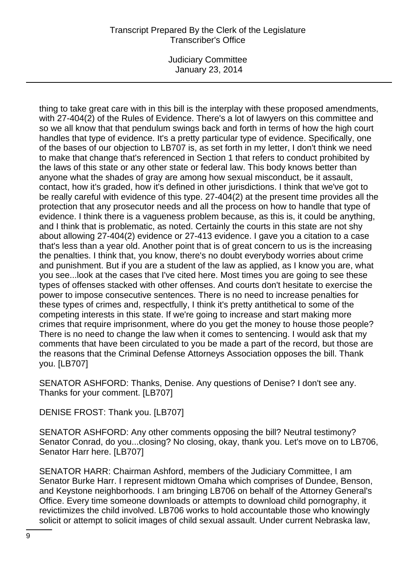Judiciary Committee January 23, 2014

thing to take great care with in this bill is the interplay with these proposed amendments, with 27-404(2) of the Rules of Evidence. There's a lot of lawyers on this committee and so we all know that that pendulum swings back and forth in terms of how the high court handles that type of evidence. It's a pretty particular type of evidence. Specifically, one of the bases of our objection to LB707 is, as set forth in my letter, I don't think we need to make that change that's referenced in Section 1 that refers to conduct prohibited by the laws of this state or any other state or federal law. This body knows better than anyone what the shades of gray are among how sexual misconduct, be it assault, contact, how it's graded, how it's defined in other jurisdictions. I think that we've got to be really careful with evidence of this type. 27-404(2) at the present time provides all the protection that any prosecutor needs and all the process on how to handle that type of evidence. I think there is a vagueness problem because, as this is, it could be anything, and I think that is problematic, as noted. Certainly the courts in this state are not shy about allowing 27-404(2) evidence or 27-413 evidence. I gave you a citation to a case that's less than a year old. Another point that is of great concern to us is the increasing the penalties. I think that, you know, there's no doubt everybody worries about crime and punishment. But if you are a student of the law as applied, as I know you are, what you see...look at the cases that I've cited here. Most times you are going to see these types of offenses stacked with other offenses. And courts don't hesitate to exercise the power to impose consecutive sentences. There is no need to increase penalties for these types of crimes and, respectfully, I think it's pretty antithetical to some of the competing interests in this state. If we're going to increase and start making more crimes that require imprisonment, where do you get the money to house those people? There is no need to change the law when it comes to sentencing. I would ask that my comments that have been circulated to you be made a part of the record, but those are the reasons that the Criminal Defense Attorneys Association opposes the bill. Thank you. [LB707]

SENATOR ASHFORD: Thanks, Denise. Any questions of Denise? I don't see any. Thanks for your comment. [LB707]

DENISE FROST: Thank you. [LB707]

SENATOR ASHFORD: Any other comments opposing the bill? Neutral testimony? Senator Conrad, do you...closing? No closing, okay, thank you. Let's move on to LB706, Senator Harr here. [LB707]

SENATOR HARR: Chairman Ashford, members of the Judiciary Committee, I am Senator Burke Harr. I represent midtown Omaha which comprises of Dundee, Benson, and Keystone neighborhoods. I am bringing LB706 on behalf of the Attorney General's Office. Every time someone downloads or attempts to download child pornography, it revictimizes the child involved. LB706 works to hold accountable those who knowingly solicit or attempt to solicit images of child sexual assault. Under current Nebraska law,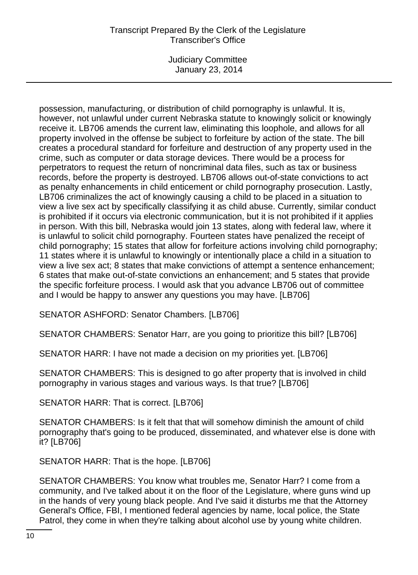Judiciary Committee January 23, 2014

possession, manufacturing, or distribution of child pornography is unlawful. It is, however, not unlawful under current Nebraska statute to knowingly solicit or knowingly receive it. LB706 amends the current law, eliminating this loophole, and allows for all property involved in the offense be subject to forfeiture by action of the state. The bill creates a procedural standard for forfeiture and destruction of any property used in the crime, such as computer or data storage devices. There would be a process for perpetrators to request the return of noncriminal data files, such as tax or business records, before the property is destroyed. LB706 allows out-of-state convictions to act as penalty enhancements in child enticement or child pornography prosecution. Lastly, LB706 criminalizes the act of knowingly causing a child to be placed in a situation to view a live sex act by specifically classifying it as child abuse. Currently, similar conduct is prohibited if it occurs via electronic communication, but it is not prohibited if it applies in person. With this bill, Nebraska would join 13 states, along with federal law, where it is unlawful to solicit child pornography. Fourteen states have penalized the receipt of child pornography; 15 states that allow for forfeiture actions involving child pornography; 11 states where it is unlawful to knowingly or intentionally place a child in a situation to view a live sex act; 8 states that make convictions of attempt a sentence enhancement; 6 states that make out-of-state convictions an enhancement; and 5 states that provide the specific forfeiture process. I would ask that you advance LB706 out of committee and I would be happy to answer any questions you may have. [LB706]

SENATOR ASHFORD: Senator Chambers. [LB706]

SENATOR CHAMBERS: Senator Harr, are you going to prioritize this bill? [LB706]

SENATOR HARR: I have not made a decision on my priorities yet. [LB706]

SENATOR CHAMBERS: This is designed to go after property that is involved in child pornography in various stages and various ways. Is that true? [LB706]

SENATOR HARR: That is correct. [LB706]

SENATOR CHAMBERS: Is it felt that that will somehow diminish the amount of child pornography that's going to be produced, disseminated, and whatever else is done with it? [LB706]

SENATOR HARR: That is the hope. [LB706]

SENATOR CHAMBERS: You know what troubles me, Senator Harr? I come from a community, and I've talked about it on the floor of the Legislature, where guns wind up in the hands of very young black people. And I've said it disturbs me that the Attorney General's Office, FBI, I mentioned federal agencies by name, local police, the State Patrol, they come in when they're talking about alcohol use by young white children.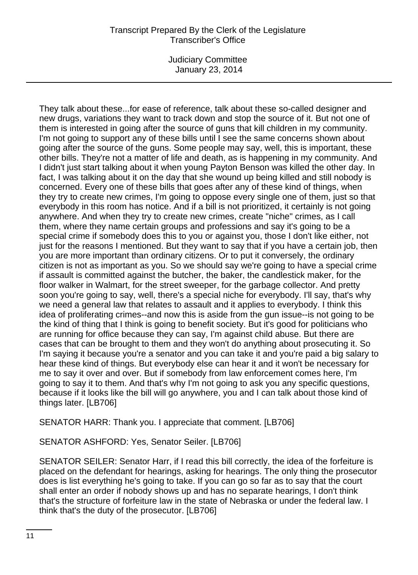Judiciary Committee January 23, 2014

They talk about these...for ease of reference, talk about these so-called designer and new drugs, variations they want to track down and stop the source of it. But not one of them is interested in going after the source of guns that kill children in my community. I'm not going to support any of these bills until I see the same concerns shown about going after the source of the guns. Some people may say, well, this is important, these other bills. They're not a matter of life and death, as is happening in my community. And I didn't just start talking about it when young Payton Benson was killed the other day. In fact, I was talking about it on the day that she wound up being killed and still nobody is concerned. Every one of these bills that goes after any of these kind of things, when they try to create new crimes, I'm going to oppose every single one of them, just so that everybody in this room has notice. And if a bill is not prioritized, it certainly is not going anywhere. And when they try to create new crimes, create "niche" crimes, as I call them, where they name certain groups and professions and say it's going to be a special crime if somebody does this to you or against you, those I don't like either, not just for the reasons I mentioned. But they want to say that if you have a certain job, then you are more important than ordinary citizens. Or to put it conversely, the ordinary citizen is not as important as you. So we should say we're going to have a special crime if assault is committed against the butcher, the baker, the candlestick maker, for the floor walker in Walmart, for the street sweeper, for the garbage collector. And pretty soon you're going to say, well, there's a special niche for everybody. I'll say, that's why we need a general law that relates to assault and it applies to everybody. I think this idea of proliferating crimes--and now this is aside from the gun issue--is not going to be the kind of thing that I think is going to benefit society. But it's good for politicians who are running for office because they can say, I'm against child abuse. But there are cases that can be brought to them and they won't do anything about prosecuting it. So I'm saying it because you're a senator and you can take it and you're paid a big salary to hear these kind of things. But everybody else can hear it and it won't be necessary for me to say it over and over. But if somebody from law enforcement comes here, I'm going to say it to them. And that's why I'm not going to ask you any specific questions, because if it looks like the bill will go anywhere, you and I can talk about those kind of things later. [LB706]

SENATOR HARR: Thank you. I appreciate that comment. [LB706]

SENATOR ASHFORD: Yes, Senator Seiler. [LB706]

SENATOR SEILER: Senator Harr, if I read this bill correctly, the idea of the forfeiture is placed on the defendant for hearings, asking for hearings. The only thing the prosecutor does is list everything he's going to take. If you can go so far as to say that the court shall enter an order if nobody shows up and has no separate hearings, I don't think that's the structure of forfeiture law in the state of Nebraska or under the federal law. I think that's the duty of the prosecutor. [LB706]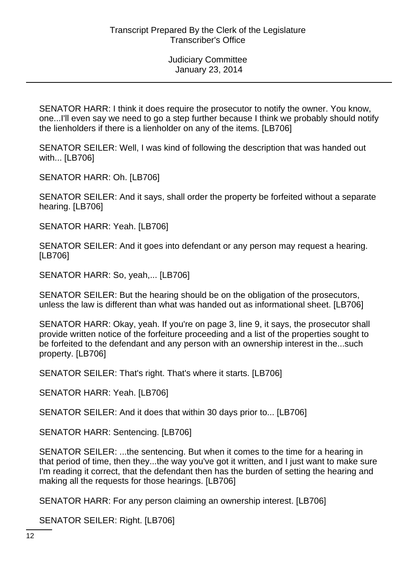SENATOR HARR: I think it does require the prosecutor to notify the owner. You know, one...I'll even say we need to go a step further because I think we probably should notify the lienholders if there is a lienholder on any of the items. [LB706]

SENATOR SEILER: Well, I was kind of following the description that was handed out with... [LB706]

SENATOR HARR: Oh. [LB706]

SENATOR SEILER: And it says, shall order the property be forfeited without a separate hearing. [LB706]

SENATOR HARR: Yeah. [LB706]

SENATOR SEILER: And it goes into defendant or any person may request a hearing. [LB706]

SENATOR HARR: So, yeah,... [LB706]

SENATOR SEILER: But the hearing should be on the obligation of the prosecutors, unless the law is different than what was handed out as informational sheet. [LB706]

SENATOR HARR: Okay, yeah. If you're on page 3, line 9, it says, the prosecutor shall provide written notice of the forfeiture proceeding and a list of the properties sought to be forfeited to the defendant and any person with an ownership interest in the...such property. [LB706]

SENATOR SEILER: That's right. That's where it starts. [LB706]

SENATOR HARR: Yeah. [LB706]

SENATOR SEILER: And it does that within 30 days prior to... [LB706]

SENATOR HARR: Sentencing. [LB706]

SENATOR SEILER: ...the sentencing. But when it comes to the time for a hearing in that period of time, then they...the way you've got it written, and I just want to make sure I'm reading it correct, that the defendant then has the burden of setting the hearing and making all the requests for those hearings. [LB706]

SENATOR HARR: For any person claiming an ownership interest. [LB706]

SENATOR SEILER: Right. [LB706]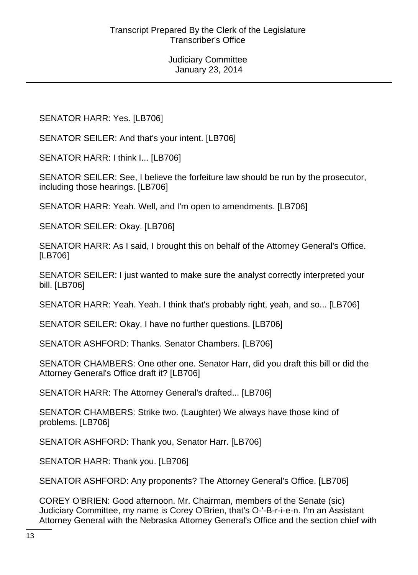SENATOR HARR: Yes. [LB706]

SENATOR SEILER: And that's your intent. [LB706]

SENATOR HARR: I think I... [LB706]

SENATOR SEILER: See, I believe the forfeiture law should be run by the prosecutor, including those hearings. [LB706]

SENATOR HARR: Yeah. Well, and I'm open to amendments. [LB706]

SENATOR SEILER: Okay. [LB706]

SENATOR HARR: As I said, I brought this on behalf of the Attorney General's Office. [LB706]

SENATOR SEILER: I just wanted to make sure the analyst correctly interpreted your bill. [LB706]

SENATOR HARR: Yeah. Yeah. I think that's probably right, yeah, and so... [LB706]

SENATOR SEILER: Okay. I have no further questions. [LB706]

SENATOR ASHFORD: Thanks. Senator Chambers. [LB706]

SENATOR CHAMBERS: One other one. Senator Harr, did you draft this bill or did the Attorney General's Office draft it? [LB706]

SENATOR HARR: The Attorney General's drafted... [LB706]

SENATOR CHAMBERS: Strike two. (Laughter) We always have those kind of problems. [LB706]

SENATOR ASHFORD: Thank you, Senator Harr. [LB706]

SENATOR HARR: Thank you. [LB706]

SENATOR ASHFORD: Any proponents? The Attorney General's Office. [LB706]

COREY O'BRIEN: Good afternoon. Mr. Chairman, members of the Senate (sic) Judiciary Committee, my name is Corey O'Brien, that's O-'-B-r-i-e-n. I'm an Assistant Attorney General with the Nebraska Attorney General's Office and the section chief with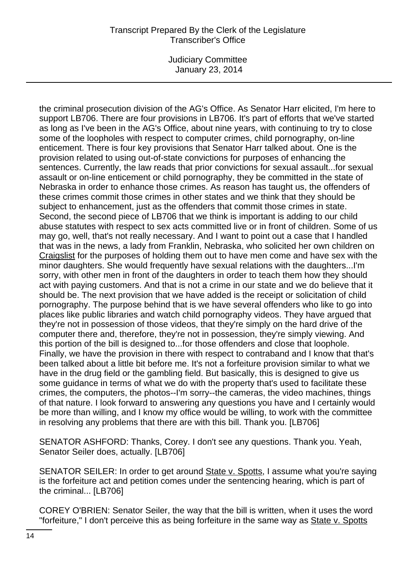Judiciary Committee January 23, 2014

the criminal prosecution division of the AG's Office. As Senator Harr elicited, I'm here to support LB706. There are four provisions in LB706. It's part of efforts that we've started as long as I've been in the AG's Office, about nine years, with continuing to try to close some of the loopholes with respect to computer crimes, child pornography, on-line enticement. There is four key provisions that Senator Harr talked about. One is the provision related to using out-of-state convictions for purposes of enhancing the sentences. Currently, the law reads that prior convictions for sexual assault...for sexual assault or on-line enticement or child pornography, they be committed in the state of Nebraska in order to enhance those crimes. As reason has taught us, the offenders of these crimes commit those crimes in other states and we think that they should be subject to enhancement, just as the offenders that commit those crimes in state. Second, the second piece of LB706 that we think is important is adding to our child abuse statutes with respect to sex acts committed live or in front of children. Some of us may go, well, that's not really necessary. And I want to point out a case that I handled that was in the news, a lady from Franklin, Nebraska, who solicited her own children on Craigslist for the purposes of holding them out to have men come and have sex with the minor daughters. She would frequently have sexual relations with the daughters...I'm sorry, with other men in front of the daughters in order to teach them how they should act with paying customers. And that is not a crime in our state and we do believe that it should be. The next provision that we have added is the receipt or solicitation of child pornography. The purpose behind that is we have several offenders who like to go into places like public libraries and watch child pornography videos. They have argued that they're not in possession of those videos, that they're simply on the hard drive of the computer there and, therefore, they're not in possession, they're simply viewing. And this portion of the bill is designed to...for those offenders and close that loophole. Finally, we have the provision in there with respect to contraband and I know that that's been talked about a little bit before me. It's not a forfeiture provision similar to what we have in the drug field or the gambling field. But basically, this is designed to give us some guidance in terms of what we do with the property that's used to facilitate these crimes, the computers, the photos--I'm sorry--the cameras, the video machines, things of that nature. I look forward to answering any questions you have and I certainly would be more than willing, and I know my office would be willing, to work with the committee in resolving any problems that there are with this bill. Thank you. [LB706]

SENATOR ASHFORD: Thanks, Corey. I don't see any questions. Thank you. Yeah, Senator Seiler does, actually. [LB706]

SENATOR SEILER: In order to get around State v. Spotts, I assume what you're saying is the forfeiture act and petition comes under the sentencing hearing, which is part of the criminal... [LB706]

COREY O'BRIEN: Senator Seiler, the way that the bill is written, when it uses the word "forfeiture," I don't perceive this as being forfeiture in the same way as State v. Spotts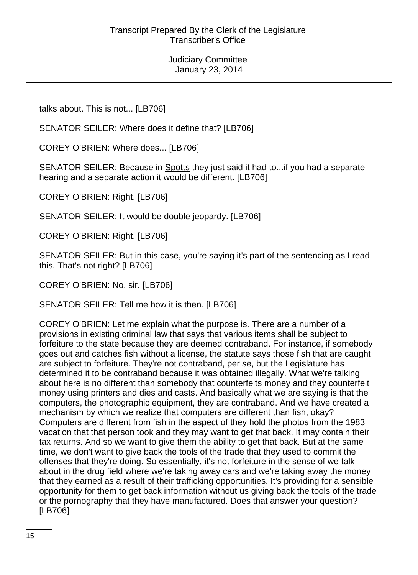talks about. This is not... [LB706]

SENATOR SEILER: Where does it define that? [LB706]

COREY O'BRIEN: Where does... [LB706]

SENATOR SEILER: Because in Spotts they just said it had to...if you had a separate hearing and a separate action it would be different. [LB706]

COREY O'BRIEN: Right. [LB706]

SENATOR SEILER: It would be double jeopardy. [LB706]

COREY O'BRIEN: Right. [LB706]

SENATOR SEILER: But in this case, you're saying it's part of the sentencing as I read this. That's not right? [LB706]

COREY O'BRIEN: No, sir. [LB706]

SENATOR SEILER: Tell me how it is then. [LB706]

COREY O'BRIEN: Let me explain what the purpose is. There are a number of a provisions in existing criminal law that says that various items shall be subject to forfeiture to the state because they are deemed contraband. For instance, if somebody goes out and catches fish without a license, the statute says those fish that are caught are subject to forfeiture. They're not contraband, per se, but the Legislature has determined it to be contraband because it was obtained illegally. What we're talking about here is no different than somebody that counterfeits money and they counterfeit money using printers and dies and casts. And basically what we are saying is that the computers, the photographic equipment, they are contraband. And we have created a mechanism by which we realize that computers are different than fish, okay? Computers are different from fish in the aspect of they hold the photos from the 1983 vacation that that person took and they may want to get that back. It may contain their tax returns. And so we want to give them the ability to get that back. But at the same time, we don't want to give back the tools of the trade that they used to commit the offenses that they're doing. So essentially, it's not forfeiture in the sense of we talk about in the drug field where we're taking away cars and we're taking away the money that they earned as a result of their trafficking opportunities. It's providing for a sensible opportunity for them to get back information without us giving back the tools of the trade or the pornography that they have manufactured. Does that answer your question? [LB706]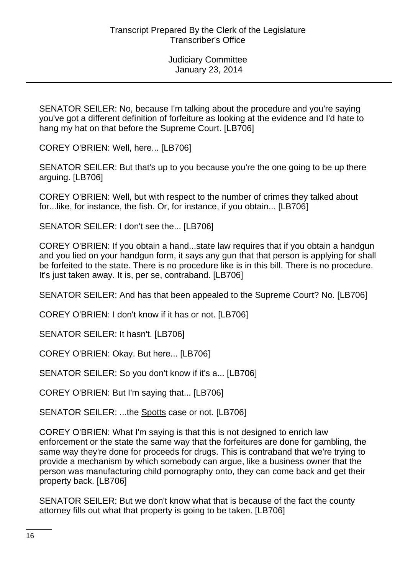SENATOR SEILER: No, because I'm talking about the procedure and you're saying you've got a different definition of forfeiture as looking at the evidence and I'd hate to hang my hat on that before the Supreme Court. [LB706]

COREY O'BRIEN: Well, here... [LB706]

SENATOR SEILER: But that's up to you because you're the one going to be up there arguing. [LB706]

COREY O'BRIEN: Well, but with respect to the number of crimes they talked about for...like, for instance, the fish. Or, for instance, if you obtain... [LB706]

SENATOR SEILER: I don't see the... [LB706]

COREY O'BRIEN: If you obtain a hand...state law requires that if you obtain a handgun and you lied on your handgun form, it says any gun that that person is applying for shall be forfeited to the state. There is no procedure like is in this bill. There is no procedure. It's just taken away. It is, per se, contraband. [LB706]

SENATOR SEILER: And has that been appealed to the Supreme Court? No. [LB706]

COREY O'BRIEN: I don't know if it has or not. [LB706]

SENATOR SEILER: It hasn't. [LB706]

COREY O'BRIEN: Okay. But here... [LB706]

SENATOR SEILER: So you don't know if it's a... [LB706]

COREY O'BRIEN: But I'm saying that... [LB706]

SENATOR SEILER: ...the Spotts case or not. [LB706]

COREY O'BRIEN: What I'm saying is that this is not designed to enrich law enforcement or the state the same way that the forfeitures are done for gambling, the same way they're done for proceeds for drugs. This is contraband that we're trying to provide a mechanism by which somebody can argue, like a business owner that the person was manufacturing child pornography onto, they can come back and get their property back. [LB706]

SENATOR SEILER: But we don't know what that is because of the fact the county attorney fills out what that property is going to be taken. [LB706]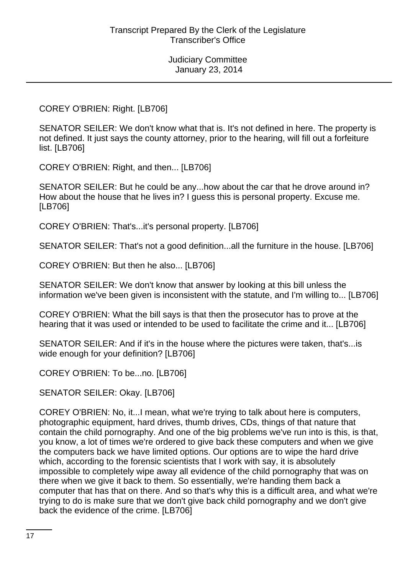COREY O'BRIEN: Right. [LB706]

SENATOR SEILER: We don't know what that is. It's not defined in here. The property is not defined. It just says the county attorney, prior to the hearing, will fill out a forfeiture list. [LB706]

COREY O'BRIEN: Right, and then... [LB706]

SENATOR SEILER: But he could be any...how about the car that he drove around in? How about the house that he lives in? I guess this is personal property. Excuse me. [LB706]

COREY O'BRIEN: That's...it's personal property. [LB706]

SENATOR SEILER: That's not a good definition...all the furniture in the house. [LB706]

COREY O'BRIEN: But then he also... [LB706]

SENATOR SEILER: We don't know that answer by looking at this bill unless the information we've been given is inconsistent with the statute, and I'm willing to... [LB706]

COREY O'BRIEN: What the bill says is that then the prosecutor has to prove at the hearing that it was used or intended to be used to facilitate the crime and it... [LB706]

SENATOR SEILER: And if it's in the house where the pictures were taken, that's...is wide enough for your definition? [LB706]

COREY O'BRIEN: To be...no. [LB706]

SENATOR SEILER: Okay. [LB706]

COREY O'BRIEN: No, it...I mean, what we're trying to talk about here is computers, photographic equipment, hard drives, thumb drives, CDs, things of that nature that contain the child pornography. And one of the big problems we've run into is this, is that, you know, a lot of times we're ordered to give back these computers and when we give the computers back we have limited options. Our options are to wipe the hard drive which, according to the forensic scientists that I work with say, it is absolutely impossible to completely wipe away all evidence of the child pornography that was on there when we give it back to them. So essentially, we're handing them back a computer that has that on there. And so that's why this is a difficult area, and what we're trying to do is make sure that we don't give back child pornography and we don't give back the evidence of the crime. [LB706]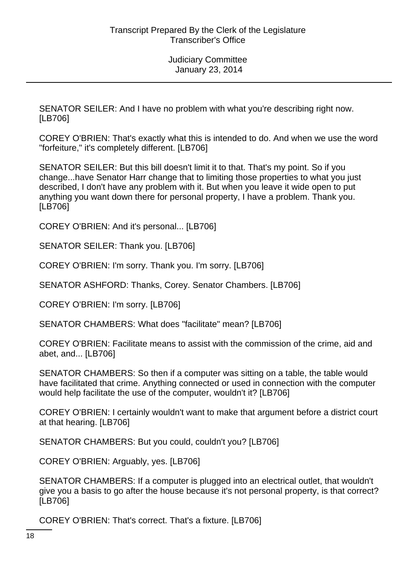SENATOR SEILER: And I have no problem with what you're describing right now. [LB706]

COREY O'BRIEN: That's exactly what this is intended to do. And when we use the word "forfeiture," it's completely different. [LB706]

SENATOR SEILER: But this bill doesn't limit it to that. That's my point. So if you change...have Senator Harr change that to limiting those properties to what you just described, I don't have any problem with it. But when you leave it wide open to put anything you want down there for personal property, I have a problem. Thank you. [LB706]

COREY O'BRIEN: And it's personal... [LB706]

SENATOR SEILER: Thank you. [LB706]

COREY O'BRIEN: I'm sorry. Thank you. I'm sorry. [LB706]

SENATOR ASHFORD: Thanks, Corey. Senator Chambers. [LB706]

COREY O'BRIEN: I'm sorry. [LB706]

SENATOR CHAMBERS: What does "facilitate" mean? [LB706]

COREY O'BRIEN: Facilitate means to assist with the commission of the crime, aid and abet, and... [LB706]

SENATOR CHAMBERS: So then if a computer was sitting on a table, the table would have facilitated that crime. Anything connected or used in connection with the computer would help facilitate the use of the computer, wouldn't it? [LB706]

COREY O'BRIEN: I certainly wouldn't want to make that argument before a district court at that hearing. [LB706]

SENATOR CHAMBERS: But you could, couldn't you? [LB706]

COREY O'BRIEN: Arguably, yes. [LB706]

SENATOR CHAMBERS: If a computer is plugged into an electrical outlet, that wouldn't give you a basis to go after the house because it's not personal property, is that correct? [LB706]

COREY O'BRIEN: That's correct. That's a fixture. [LB706]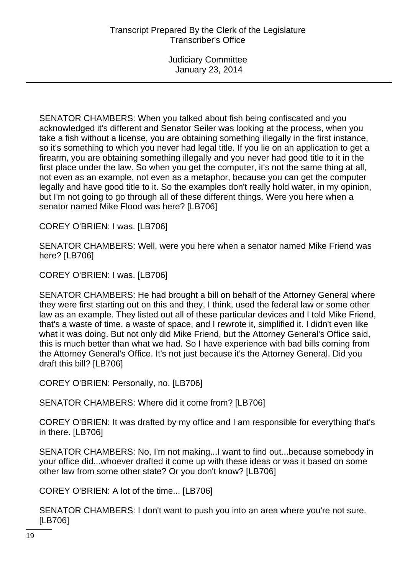SENATOR CHAMBERS: When you talked about fish being confiscated and you acknowledged it's different and Senator Seiler was looking at the process, when you take a fish without a license, you are obtaining something illegally in the first instance, so it's something to which you never had legal title. If you lie on an application to get a firearm, you are obtaining something illegally and you never had good title to it in the first place under the law. So when you get the computer, it's not the same thing at all, not even as an example, not even as a metaphor, because you can get the computer legally and have good title to it. So the examples don't really hold water, in my opinion, but I'm not going to go through all of these different things. Were you here when a senator named Mike Flood was here? [LB706]

COREY O'BRIEN: I was. [LB706]

SENATOR CHAMBERS: Well, were you here when a senator named Mike Friend was here? [LB706]

COREY O'BRIEN: I was. [LB706]

SENATOR CHAMBERS: He had brought a bill on behalf of the Attorney General where they were first starting out on this and they, I think, used the federal law or some other law as an example. They listed out all of these particular devices and I told Mike Friend, that's a waste of time, a waste of space, and I rewrote it, simplified it. I didn't even like what it was doing. But not only did Mike Friend, but the Attorney General's Office said, this is much better than what we had. So I have experience with bad bills coming from the Attorney General's Office. It's not just because it's the Attorney General. Did you draft this bill? [LB706]

COREY O'BRIEN: Personally, no. [LB706]

SENATOR CHAMBERS: Where did it come from? [LB706]

COREY O'BRIEN: It was drafted by my office and I am responsible for everything that's in there. [LB706]

SENATOR CHAMBERS: No, I'm not making...I want to find out...because somebody in your office did...whoever drafted it come up with these ideas or was it based on some other law from some other state? Or you don't know? [LB706]

COREY O'BRIEN: A lot of the time... [LB706]

SENATOR CHAMBERS: I don't want to push you into an area where you're not sure. [LB706]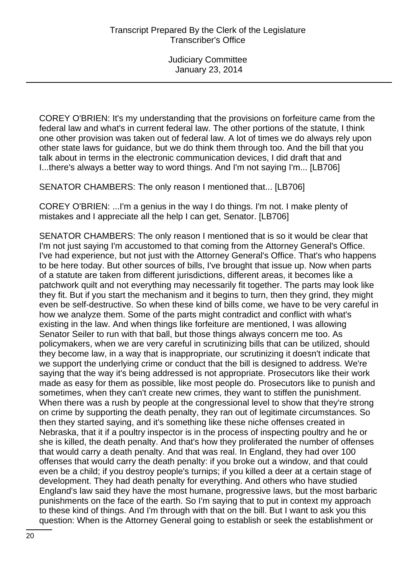COREY O'BRIEN: It's my understanding that the provisions on forfeiture came from the federal law and what's in current federal law. The other portions of the statute, I think one other provision was taken out of federal law. A lot of times we do always rely upon other state laws for guidance, but we do think them through too. And the bill that you talk about in terms in the electronic communication devices, I did draft that and I...there's always a better way to word things. And I'm not saying I'm... [LB706]

SENATOR CHAMBERS: The only reason I mentioned that... [LB706]

COREY O'BRIEN: ...I'm a genius in the way I do things. I'm not. I make plenty of mistakes and I appreciate all the help I can get, Senator. [LB706]

SENATOR CHAMBERS: The only reason I mentioned that is so it would be clear that I'm not just saying I'm accustomed to that coming from the Attorney General's Office. I've had experience, but not just with the Attorney General's Office. That's who happens to be here today. But other sources of bills, I've brought that issue up. Now when parts of a statute are taken from different jurisdictions, different areas, it becomes like a patchwork quilt and not everything may necessarily fit together. The parts may look like they fit. But if you start the mechanism and it begins to turn, then they grind, they might even be self-destructive. So when these kind of bills come, we have to be very careful in how we analyze them. Some of the parts might contradict and conflict with what's existing in the law. And when things like forfeiture are mentioned, I was allowing Senator Seiler to run with that ball, but those things always concern me too. As policymakers, when we are very careful in scrutinizing bills that can be utilized, should they become law, in a way that is inappropriate, our scrutinizing it doesn't indicate that we support the underlying crime or conduct that the bill is designed to address. We're saying that the way it's being addressed is not appropriate. Prosecutors like their work made as easy for them as possible, like most people do. Prosecutors like to punish and sometimes, when they can't create new crimes, they want to stiffen the punishment. When there was a rush by people at the congressional level to show that they're strong on crime by supporting the death penalty, they ran out of legitimate circumstances. So then they started saying, and it's something like these niche offenses created in Nebraska, that it if a poultry inspector is in the process of inspecting poultry and he or she is killed, the death penalty. And that's how they proliferated the number of offenses that would carry a death penalty. And that was real. In England, they had over 100 offenses that would carry the death penalty: if you broke out a window, and that could even be a child; if you destroy people's turnips; if you killed a deer at a certain stage of development. They had death penalty for everything. And others who have studied England's law said they have the most humane, progressive laws, but the most barbaric punishments on the face of the earth. So I'm saying that to put in context my approach to these kind of things. And I'm through with that on the bill. But I want to ask you this question: When is the Attorney General going to establish or seek the establishment or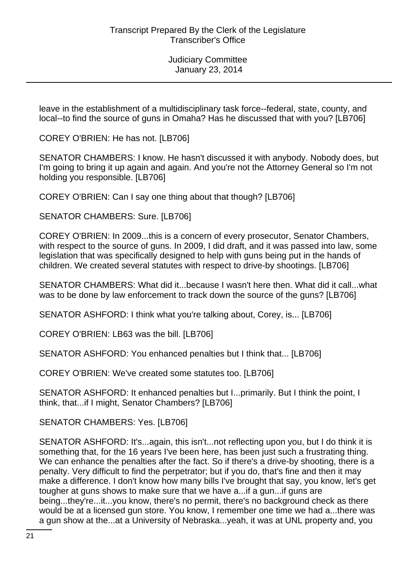leave in the establishment of a multidisciplinary task force--federal, state, county, and local--to find the source of guns in Omaha? Has he discussed that with you? [LB706]

COREY O'BRIEN: He has not. [LB706]

SENATOR CHAMBERS: I know. He hasn't discussed it with anybody. Nobody does, but I'm going to bring it up again and again. And you're not the Attorney General so I'm not holding you responsible. [LB706]

COREY O'BRIEN: Can I say one thing about that though? [LB706]

SENATOR CHAMBERS: Sure. [LB706]

COREY O'BRIEN: In 2009...this is a concern of every prosecutor, Senator Chambers, with respect to the source of guns. In 2009, I did draft, and it was passed into law, some legislation that was specifically designed to help with guns being put in the hands of children. We created several statutes with respect to drive-by shootings. [LB706]

SENATOR CHAMBERS: What did it...because I wasn't here then. What did it call...what was to be done by law enforcement to track down the source of the guns? [LB706]

SENATOR ASHFORD: I think what you're talking about, Corey, is... [LB706]

COREY O'BRIEN: LB63 was the bill. [LB706]

SENATOR ASHFORD: You enhanced penalties but I think that... [LB706]

COREY O'BRIEN: We've created some statutes too. [LB706]

SENATOR ASHFORD: It enhanced penalties but I...primarily. But I think the point, I think, that...if I might, Senator Chambers? [LB706]

SENATOR CHAMBERS: Yes. [LB706]

SENATOR ASHFORD: It's...again, this isn't...not reflecting upon you, but I do think it is something that, for the 16 years I've been here, has been just such a frustrating thing. We can enhance the penalties after the fact. So if there's a drive-by shooting, there is a penalty. Very difficult to find the perpetrator; but if you do, that's fine and then it may make a difference. I don't know how many bills I've brought that say, you know, let's get tougher at guns shows to make sure that we have a...if a gun...if guns are being...they're...it...you know, there's no permit, there's no background check as there would be at a licensed gun store. You know, I remember one time we had a...there was a gun show at the...at a University of Nebraska...yeah, it was at UNL property and, you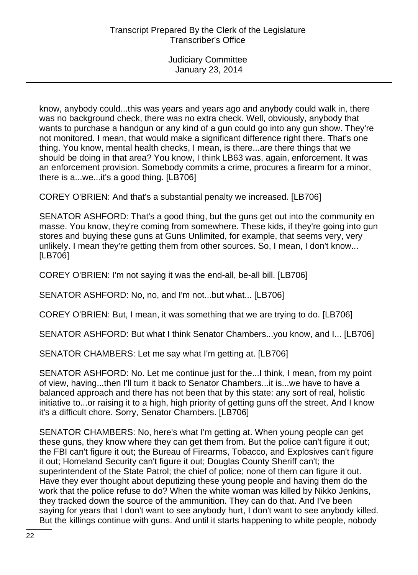know, anybody could...this was years and years ago and anybody could walk in, there was no background check, there was no extra check. Well, obviously, anybody that wants to purchase a handgun or any kind of a gun could go into any gun show. They're not monitored. I mean, that would make a significant difference right there. That's one thing. You know, mental health checks, I mean, is there...are there things that we should be doing in that area? You know, I think LB63 was, again, enforcement. It was an enforcement provision. Somebody commits a crime, procures a firearm for a minor, there is a...we...it's a good thing. [LB706]

COREY O'BRIEN: And that's a substantial penalty we increased. [LB706]

SENATOR ASHFORD: That's a good thing, but the guns get out into the community en masse. You know, they're coming from somewhere. These kids, if they're going into gun stores and buying these guns at Guns Unlimited, for example, that seems very, very unlikely. I mean they're getting them from other sources. So, I mean, I don't know... [LB706]

COREY O'BRIEN: I'm not saying it was the end-all, be-all bill. [LB706]

SENATOR ASHFORD: No, no, and I'm not...but what... [LB706]

COREY O'BRIEN: But, I mean, it was something that we are trying to do. [LB706]

SENATOR ASHFORD: But what I think Senator Chambers...you know, and I... [LB706]

SENATOR CHAMBERS: Let me say what I'm getting at. [LB706]

SENATOR ASHFORD: No. Let me continue just for the...I think, I mean, from my point of view, having...then I'll turn it back to Senator Chambers...it is...we have to have a balanced approach and there has not been that by this state: any sort of real, holistic initiative to...or raising it to a high, high priority of getting guns off the street. And I know it's a difficult chore. Sorry, Senator Chambers. [LB706]

SENATOR CHAMBERS: No, here's what I'm getting at. When young people can get these guns, they know where they can get them from. But the police can't figure it out; the FBI can't figure it out; the Bureau of Firearms, Tobacco, and Explosives can't figure it out; Homeland Security can't figure it out; Douglas County Sheriff can't; the superintendent of the State Patrol; the chief of police; none of them can figure it out. Have they ever thought about deputizing these young people and having them do the work that the police refuse to do? When the white woman was killed by Nikko Jenkins, they tracked down the source of the ammunition. They can do that. And I've been saying for years that I don't want to see anybody hurt, I don't want to see anybody killed. But the killings continue with guns. And until it starts happening to white people, nobody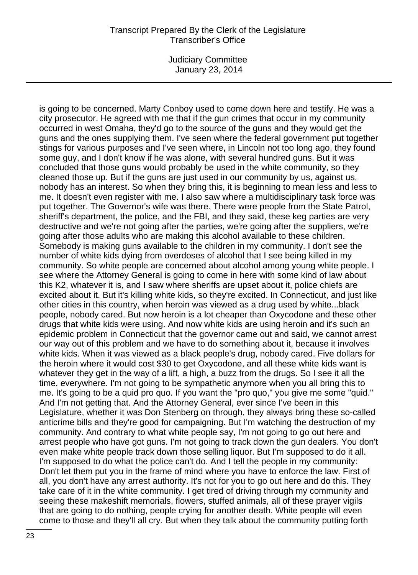Judiciary Committee January 23, 2014

is going to be concerned. Marty Conboy used to come down here and testify. He was a city prosecutor. He agreed with me that if the gun crimes that occur in my community occurred in west Omaha, they'd go to the source of the guns and they would get the guns and the ones supplying them. I've seen where the federal government put together stings for various purposes and I've seen where, in Lincoln not too long ago, they found some guy, and I don't know if he was alone, with several hundred guns. But it was concluded that those guns would probably be used in the white community, so they cleaned those up. But if the guns are just used in our community by us, against us, nobody has an interest. So when they bring this, it is beginning to mean less and less to me. It doesn't even register with me. I also saw where a multidisciplinary task force was put together. The Governor's wife was there. There were people from the State Patrol, sheriff's department, the police, and the FBI, and they said, these keg parties are very destructive and we're not going after the parties, we're going after the suppliers, we're going after those adults who are making this alcohol available to these children. Somebody is making guns available to the children in my community. I don't see the number of white kids dying from overdoses of alcohol that I see being killed in my community. So white people are concerned about alcohol among young white people. I see where the Attorney General is going to come in here with some kind of law about this K2, whatever it is, and I saw where sheriffs are upset about it, police chiefs are excited about it. But it's killing white kids, so they're excited. In Connecticut, and just like other cities in this country, when heroin was viewed as a drug used by white...black people, nobody cared. But now heroin is a lot cheaper than Oxycodone and these other drugs that white kids were using. And now white kids are using heroin and it's such an epidemic problem in Connecticut that the governor came out and said, we cannot arrest our way out of this problem and we have to do something about it, because it involves white kids. When it was viewed as a black people's drug, nobody cared. Five dollars for the heroin where it would cost \$30 to get Oxycodone, and all these white kids want is whatever they get in the way of a lift, a high, a buzz from the drugs. So I see it all the time, everywhere. I'm not going to be sympathetic anymore when you all bring this to me. It's going to be a quid pro quo. If you want the "pro quo," you give me some "quid." And I'm not getting that. And the Attorney General, ever since I've been in this Legislature, whether it was Don Stenberg on through, they always bring these so-called anticrime bills and they're good for campaigning. But I'm watching the destruction of my community. And contrary to what white people say, I'm not going to go out here and arrest people who have got guns. I'm not going to track down the gun dealers. You don't even make white people track down those selling liquor. But I'm supposed to do it all. I'm supposed to do what the police can't do. And I tell the people in my community: Don't let them put you in the frame of mind where you have to enforce the law. First of all, you don't have any arrest authority. It's not for you to go out here and do this. They take care of it in the white community. I get tired of driving through my community and seeing these makeshift memorials, flowers, stuffed animals, all of these prayer vigils that are going to do nothing, people crying for another death. White people will even come to those and they'll all cry. But when they talk about the community putting forth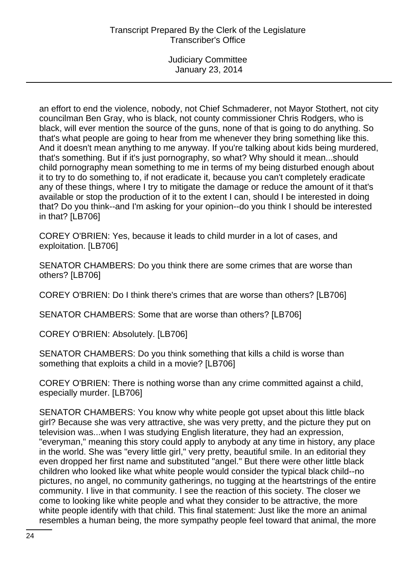an effort to end the violence, nobody, not Chief Schmaderer, not Mayor Stothert, not city councilman Ben Gray, who is black, not county commissioner Chris Rodgers, who is black, will ever mention the source of the guns, none of that is going to do anything. So that's what people are going to hear from me whenever they bring something like this. And it doesn't mean anything to me anyway. If you're talking about kids being murdered, that's something. But if it's just pornography, so what? Why should it mean...should child pornography mean something to me in terms of my being disturbed enough about it to try to do something to, if not eradicate it, because you can't completely eradicate any of these things, where I try to mitigate the damage or reduce the amount of it that's available or stop the production of it to the extent I can, should I be interested in doing that? Do you think--and I'm asking for your opinion--do you think I should be interested in that? [LB706]

COREY O'BRIEN: Yes, because it leads to child murder in a lot of cases, and exploitation. [LB706]

SENATOR CHAMBERS: Do you think there are some crimes that are worse than others? [LB706]

COREY O'BRIEN: Do I think there's crimes that are worse than others? [LB706]

SENATOR CHAMBERS: Some that are worse than others? [LB706]

COREY O'BRIEN: Absolutely. [LB706]

SENATOR CHAMBERS: Do you think something that kills a child is worse than something that exploits a child in a movie? [LB706]

COREY O'BRIEN: There is nothing worse than any crime committed against a child, especially murder. [LB706]

SENATOR CHAMBERS: You know why white people got upset about this little black girl? Because she was very attractive, she was very pretty, and the picture they put on television was...when I was studying English literature, they had an expression, "everyman," meaning this story could apply to anybody at any time in history, any place in the world. She was "every little girl," very pretty, beautiful smile. In an editorial they even dropped her first name and substituted "angel." But there were other little black children who looked like what white people would consider the typical black child--no pictures, no angel, no community gatherings, no tugging at the heartstrings of the entire community. I live in that community. I see the reaction of this society. The closer we come to looking like white people and what they consider to be attractive, the more white people identify with that child. This final statement: Just like the more an animal resembles a human being, the more sympathy people feel toward that animal, the more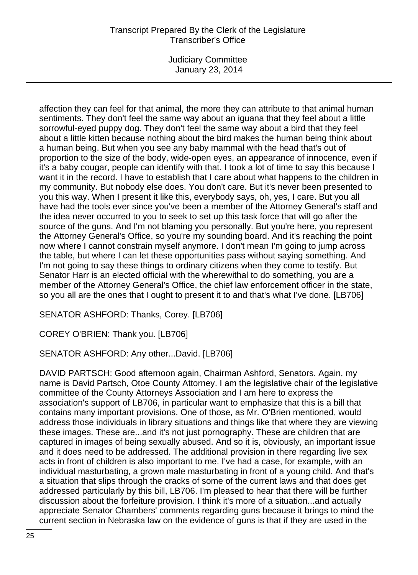Judiciary Committee January 23, 2014

affection they can feel for that animal, the more they can attribute to that animal human sentiments. They don't feel the same way about an iguana that they feel about a little sorrowful-eyed puppy dog. They don't feel the same way about a bird that they feel about a little kitten because nothing about the bird makes the human being think about a human being. But when you see any baby mammal with the head that's out of proportion to the size of the body, wide-open eyes, an appearance of innocence, even if it's a baby cougar, people can identify with that. I took a lot of time to say this because I want it in the record. I have to establish that I care about what happens to the children in my community. But nobody else does. You don't care. But it's never been presented to you this way. When I present it like this, everybody says, oh, yes, I care. But you all have had the tools ever since you've been a member of the Attorney General's staff and the idea never occurred to you to seek to set up this task force that will go after the source of the guns. And I'm not blaming you personally. But you're here, you represent the Attorney General's Office, so you're my sounding board. And it's reaching the point now where I cannot constrain myself anymore. I don't mean I'm going to jump across the table, but where I can let these opportunities pass without saying something. And I'm not going to say these things to ordinary citizens when they come to testify. But Senator Harr is an elected official with the wherewithal to do something, you are a member of the Attorney General's Office, the chief law enforcement officer in the state, so you all are the ones that I ought to present it to and that's what I've done. [LB706]

SENATOR ASHFORD: Thanks, Corey. [LB706]

COREY O'BRIEN: Thank you. [LB706]

SENATOR ASHFORD: Any other...David. [LB706]

DAVID PARTSCH: Good afternoon again, Chairman Ashford, Senators. Again, my name is David Partsch, Otoe County Attorney. I am the legislative chair of the legislative committee of the County Attorneys Association and I am here to express the association's support of LB706, in particular want to emphasize that this is a bill that contains many important provisions. One of those, as Mr. O'Brien mentioned, would address those individuals in library situations and things like that where they are viewing these images. These are...and it's not just pornography. These are children that are captured in images of being sexually abused. And so it is, obviously, an important issue and it does need to be addressed. The additional provision in there regarding live sex acts in front of children is also important to me. I've had a case, for example, with an individual masturbating, a grown male masturbating in front of a young child. And that's a situation that slips through the cracks of some of the current laws and that does get addressed particularly by this bill, LB706. I'm pleased to hear that there will be further discussion about the forfeiture provision. I think it's more of a situation...and actually appreciate Senator Chambers' comments regarding guns because it brings to mind the current section in Nebraska law on the evidence of guns is that if they are used in the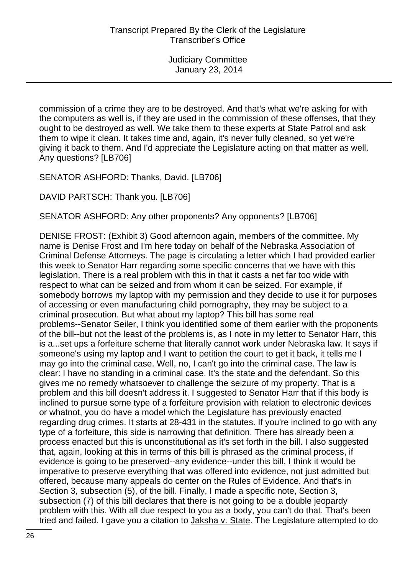commission of a crime they are to be destroyed. And that's what we're asking for with the computers as well is, if they are used in the commission of these offenses, that they ought to be destroyed as well. We take them to these experts at State Patrol and ask them to wipe it clean. It takes time and, again, it's never fully cleaned, so yet we're giving it back to them. And I'd appreciate the Legislature acting on that matter as well. Any questions? [LB706]

SENATOR ASHFORD: Thanks, David. [LB706]

DAVID PARTSCH: Thank you. [LB706]

SENATOR ASHFORD: Any other proponents? Any opponents? [LB706]

DENISE FROST: (Exhibit 3) Good afternoon again, members of the committee. My name is Denise Frost and I'm here today on behalf of the Nebraska Association of Criminal Defense Attorneys. The page is circulating a letter which I had provided earlier this week to Senator Harr regarding some specific concerns that we have with this legislation. There is a real problem with this in that it casts a net far too wide with respect to what can be seized and from whom it can be seized. For example, if somebody borrows my laptop with my permission and they decide to use it for purposes of accessing or even manufacturing child pornography, they may be subject to a criminal prosecution. But what about my laptop? This bill has some real problems--Senator Seiler, I think you identified some of them earlier with the proponents of the bill--but not the least of the problems is, as I note in my letter to Senator Harr, this is a...set ups a forfeiture scheme that literally cannot work under Nebraska law. It says if someone's using my laptop and I want to petition the court to get it back, it tells me I may go into the criminal case. Well, no, I can't go into the criminal case. The law is clear: I have no standing in a criminal case. It's the state and the defendant. So this gives me no remedy whatsoever to challenge the seizure of my property. That is a problem and this bill doesn't address it. I suggested to Senator Harr that if this body is inclined to pursue some type of a forfeiture provision with relation to electronic devices or whatnot, you do have a model which the Legislature has previously enacted regarding drug crimes. It starts at 28-431 in the statutes. If you're inclined to go with any type of a forfeiture, this side is narrowing that definition. There has already been a process enacted but this is unconstitutional as it's set forth in the bill. I also suggested that, again, looking at this in terms of this bill is phrased as the criminal process, if evidence is going to be preserved--any evidence--under this bill, I think it would be imperative to preserve everything that was offered into evidence, not just admitted but offered, because many appeals do center on the Rules of Evidence. And that's in Section 3, subsection (5), of the bill. Finally, I made a specific note, Section 3, subsection (7) of this bill declares that there is not going to be a double jeopardy problem with this. With all due respect to you as a body, you can't do that. That's been tried and failed. I gave you a citation to Jaksha v. State. The Legislature attempted to do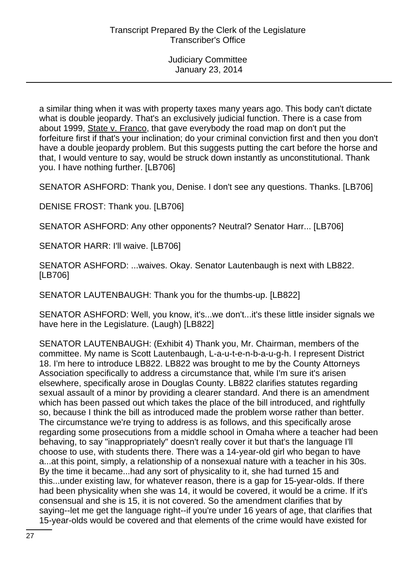a similar thing when it was with property taxes many years ago. This body can't dictate what is double jeopardy. That's an exclusively judicial function. There is a case from about 1999, State v. Franco, that gave everybody the road map on don't put the forfeiture first if that's your inclination; do your criminal conviction first and then you don't have a double jeopardy problem. But this suggests putting the cart before the horse and that, I would venture to say, would be struck down instantly as unconstitutional. Thank you. I have nothing further. [LB706]

SENATOR ASHFORD: Thank you, Denise. I don't see any questions. Thanks. [LB706]

DENISE FROST: Thank you. [LB706]

SENATOR ASHFORD: Any other opponents? Neutral? Senator Harr... [LB706]

SENATOR HARR: I'll waive. [LB706]

SENATOR ASHFORD: ...waives. Okay. Senator Lautenbaugh is next with LB822. [LB706]

SENATOR LAUTENBAUGH: Thank you for the thumbs-up. [LB822]

SENATOR ASHFORD: Well, you know, it's...we don't...it's these little insider signals we have here in the Legislature. (Laugh) [LB822]

SENATOR LAUTENBAUGH: (Exhibit 4) Thank you, Mr. Chairman, members of the committee. My name is Scott Lautenbaugh, L-a-u-t-e-n-b-a-u-g-h. I represent District 18. I'm here to introduce LB822. LB822 was brought to me by the County Attorneys Association specifically to address a circumstance that, while I'm sure it's arisen elsewhere, specifically arose in Douglas County. LB822 clarifies statutes regarding sexual assault of a minor by providing a clearer standard. And there is an amendment which has been passed out which takes the place of the bill introduced, and rightfully so, because I think the bill as introduced made the problem worse rather than better. The circumstance we're trying to address is as follows, and this specifically arose regarding some prosecutions from a middle school in Omaha where a teacher had been behaving, to say "inappropriately" doesn't really cover it but that's the language I'll choose to use, with students there. There was a 14-year-old girl who began to have a...at this point, simply, a relationship of a nonsexual nature with a teacher in his 30s. By the time it became...had any sort of physicality to it, she had turned 15 and this...under existing law, for whatever reason, there is a gap for 15-year-olds. If there had been physicality when she was 14, it would be covered, it would be a crime. If it's consensual and she is 15, it is not covered. So the amendment clarifies that by saying--let me get the language right--if you're under 16 years of age, that clarifies that 15-year-olds would be covered and that elements of the crime would have existed for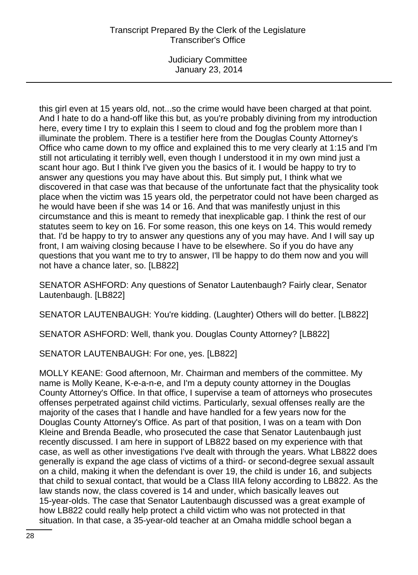Judiciary Committee January 23, 2014

this girl even at 15 years old, not...so the crime would have been charged at that point. And I hate to do a hand-off like this but, as you're probably divining from my introduction here, every time I try to explain this I seem to cloud and fog the problem more than I illuminate the problem. There is a testifier here from the Douglas County Attorney's Office who came down to my office and explained this to me very clearly at 1:15 and I'm still not articulating it terribly well, even though I understood it in my own mind just a scant hour ago. But I think I've given you the basics of it. I would be happy to try to answer any questions you may have about this. But simply put, I think what we discovered in that case was that because of the unfortunate fact that the physicality took place when the victim was 15 years old, the perpetrator could not have been charged as he would have been if she was 14 or 16. And that was manifestly unjust in this circumstance and this is meant to remedy that inexplicable gap. I think the rest of our statutes seem to key on 16. For some reason, this one keys on 14. This would remedy that. I'd be happy to try to answer any questions any of you may have. And I will say up front, I am waiving closing because I have to be elsewhere. So if you do have any questions that you want me to try to answer, I'll be happy to do them now and you will not have a chance later, so. [LB822]

SENATOR ASHFORD: Any questions of Senator Lautenbaugh? Fairly clear, Senator Lautenbaugh. [LB822]

SENATOR LAUTENBAUGH: You're kidding. (Laughter) Others will do better. [LB822]

SENATOR ASHFORD: Well, thank you. Douglas County Attorney? [LB822]

SENATOR LAUTENBAUGH: For one, yes. [LB822]

MOLLY KEANE: Good afternoon, Mr. Chairman and members of the committee. My name is Molly Keane, K-e-a-n-e, and I'm a deputy county attorney in the Douglas County Attorney's Office. In that office, I supervise a team of attorneys who prosecutes offenses perpetrated against child victims. Particularly, sexual offenses really are the majority of the cases that I handle and have handled for a few years now for the Douglas County Attorney's Office. As part of that position, I was on a team with Don Kleine and Brenda Beadle, who prosecuted the case that Senator Lautenbaugh just recently discussed. I am here in support of LB822 based on my experience with that case, as well as other investigations I've dealt with through the years. What LB822 does generally is expand the age class of victims of a third- or second-degree sexual assault on a child, making it when the defendant is over 19, the child is under 16, and subjects that child to sexual contact, that would be a Class IIIA felony according to LB822. As the law stands now, the class covered is 14 and under, which basically leaves out 15-year-olds. The case that Senator Lautenbaugh discussed was a great example of how LB822 could really help protect a child victim who was not protected in that situation. In that case, a 35-year-old teacher at an Omaha middle school began a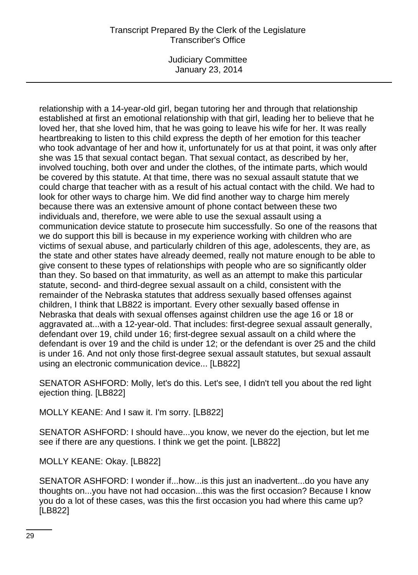Judiciary Committee January 23, 2014

relationship with a 14-year-old girl, began tutoring her and through that relationship established at first an emotional relationship with that girl, leading her to believe that he loved her, that she loved him, that he was going to leave his wife for her. It was really heartbreaking to listen to this child express the depth of her emotion for this teacher who took advantage of her and how it, unfortunately for us at that point, it was only after she was 15 that sexual contact began. That sexual contact, as described by her, involved touching, both over and under the clothes, of the intimate parts, which would be covered by this statute. At that time, there was no sexual assault statute that we could charge that teacher with as a result of his actual contact with the child. We had to look for other ways to charge him. We did find another way to charge him merely because there was an extensive amount of phone contact between these two individuals and, therefore, we were able to use the sexual assault using a communication device statute to prosecute him successfully. So one of the reasons that we do support this bill is because in my experience working with children who are victims of sexual abuse, and particularly children of this age, adolescents, they are, as the state and other states have already deemed, really not mature enough to be able to give consent to these types of relationships with people who are so significantly older than they. So based on that immaturity, as well as an attempt to make this particular statute, second- and third-degree sexual assault on a child, consistent with the remainder of the Nebraska statutes that address sexually based offenses against children, I think that LB822 is important. Every other sexually based offense in Nebraska that deals with sexual offenses against children use the age 16 or 18 or aggravated at...with a 12-year-old. That includes: first-degree sexual assault generally, defendant over 19, child under 16; first-degree sexual assault on a child where the defendant is over 19 and the child is under 12; or the defendant is over 25 and the child is under 16. And not only those first-degree sexual assault statutes, but sexual assault using an electronic communication device... [LB822]

SENATOR ASHFORD: Molly, let's do this. Let's see, I didn't tell you about the red light ejection thing. [LB822]

MOLLY KEANE: And I saw it. I'm sorry. [LB822]

SENATOR ASHFORD: I should have...you know, we never do the ejection, but let me see if there are any questions. I think we get the point. [LB822]

MOLLY KEANE: Okay. [LB822]

SENATOR ASHFORD: I wonder if...how...is this just an inadvertent...do you have any thoughts on...you have not had occasion...this was the first occasion? Because I know you do a lot of these cases, was this the first occasion you had where this came up? [LB822]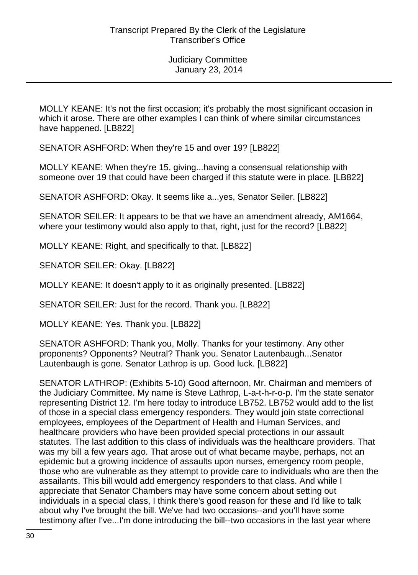MOLLY KEANE: It's not the first occasion; it's probably the most significant occasion in which it arose. There are other examples I can think of where similar circumstances have happened. [LB822]

SENATOR ASHFORD: When they're 15 and over 19? [LB822]

MOLLY KEANE: When they're 15, giving...having a consensual relationship with someone over 19 that could have been charged if this statute were in place. [LB822]

SENATOR ASHFORD: Okay. It seems like a...yes, Senator Seiler. [LB822]

SENATOR SEILER: It appears to be that we have an amendment already, AM1664, where your testimony would also apply to that, right, just for the record? [LB822]

MOLLY KEANE: Right, and specifically to that. [LB822]

SENATOR SEILER: Okay. [LB822]

MOLLY KEANE: It doesn't apply to it as originally presented. [LB822]

SENATOR SEILER: Just for the record. Thank you. [LB822]

MOLLY KEANE: Yes. Thank you. [LB822]

SENATOR ASHFORD: Thank you, Molly. Thanks for your testimony. Any other proponents? Opponents? Neutral? Thank you. Senator Lautenbaugh...Senator Lautenbaugh is gone. Senator Lathrop is up. Good luck. [LB822]

SENATOR LATHROP: (Exhibits 5-10) Good afternoon, Mr. Chairman and members of the Judiciary Committee. My name is Steve Lathrop, L-a-t-h-r-o-p. I'm the state senator representing District 12. I'm here today to introduce LB752. LB752 would add to the list of those in a special class emergency responders. They would join state correctional employees, employees of the Department of Health and Human Services, and healthcare providers who have been provided special protections in our assault statutes. The last addition to this class of individuals was the healthcare providers. That was my bill a few years ago. That arose out of what became maybe, perhaps, not an epidemic but a growing incidence of assaults upon nurses, emergency room people, those who are vulnerable as they attempt to provide care to individuals who are then the assailants. This bill would add emergency responders to that class. And while I appreciate that Senator Chambers may have some concern about setting out individuals in a special class, I think there's good reason for these and I'd like to talk about why I've brought the bill. We've had two occasions--and you'll have some testimony after I've...I'm done introducing the bill--two occasions in the last year where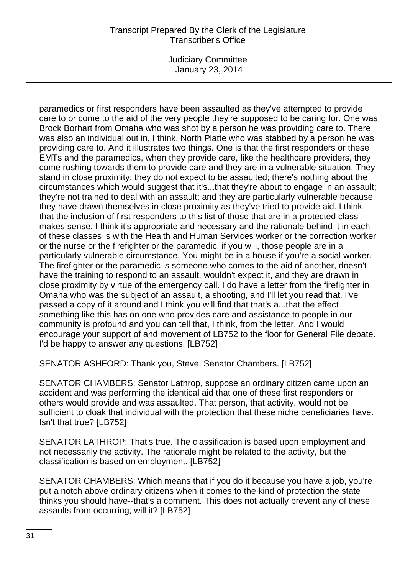Judiciary Committee January 23, 2014

paramedics or first responders have been assaulted as they've attempted to provide care to or come to the aid of the very people they're supposed to be caring for. One was Brock Borhart from Omaha who was shot by a person he was providing care to. There was also an individual out in, I think, North Platte who was stabbed by a person he was providing care to. And it illustrates two things. One is that the first responders or these EMTs and the paramedics, when they provide care, like the healthcare providers, they come rushing towards them to provide care and they are in a vulnerable situation. They stand in close proximity; they do not expect to be assaulted; there's nothing about the circumstances which would suggest that it's...that they're about to engage in an assault; they're not trained to deal with an assault; and they are particularly vulnerable because they have drawn themselves in close proximity as they've tried to provide aid. I think that the inclusion of first responders to this list of those that are in a protected class makes sense. I think it's appropriate and necessary and the rationale behind it in each of these classes is with the Health and Human Services worker or the correction worker or the nurse or the firefighter or the paramedic, if you will, those people are in a particularly vulnerable circumstance. You might be in a house if you're a social worker. The firefighter or the paramedic is someone who comes to the aid of another, doesn't have the training to respond to an assault, wouldn't expect it, and they are drawn in close proximity by virtue of the emergency call. I do have a letter from the firefighter in Omaha who was the subject of an assault, a shooting, and I'll let you read that. I've passed a copy of it around and I think you will find that that's a...that the effect something like this has on one who provides care and assistance to people in our community is profound and you can tell that, I think, from the letter. And I would encourage your support of and movement of LB752 to the floor for General File debate. I'd be happy to answer any questions. [LB752]

SENATOR ASHFORD: Thank you, Steve. Senator Chambers. [LB752]

SENATOR CHAMBERS: Senator Lathrop, suppose an ordinary citizen came upon an accident and was performing the identical aid that one of these first responders or others would provide and was assaulted. That person, that activity, would not be sufficient to cloak that individual with the protection that these niche beneficiaries have. Isn't that true? [LB752]

SENATOR LATHROP: That's true. The classification is based upon employment and not necessarily the activity. The rationale might be related to the activity, but the classification is based on employment. [LB752]

SENATOR CHAMBERS: Which means that if you do it because you have a job, you're put a notch above ordinary citizens when it comes to the kind of protection the state thinks you should have--that's a comment. This does not actually prevent any of these assaults from occurring, will it? [LB752]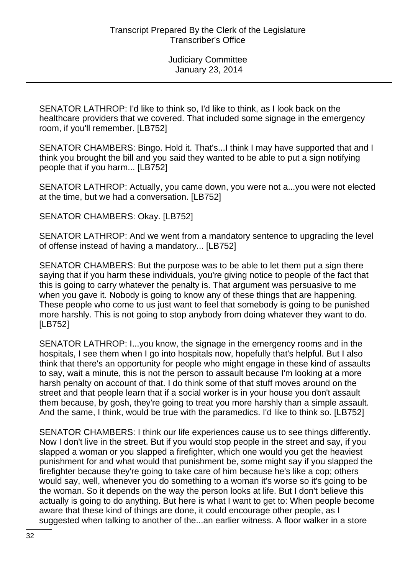SENATOR LATHROP: I'd like to think so, I'd like to think, as I look back on the healthcare providers that we covered. That included some signage in the emergency room, if you'll remember. [LB752]

SENATOR CHAMBERS: Bingo. Hold it. That's...I think I may have supported that and I think you brought the bill and you said they wanted to be able to put a sign notifying people that if you harm... [LB752]

SENATOR LATHROP: Actually, you came down, you were not a...you were not elected at the time, but we had a conversation. [LB752]

SENATOR CHAMBERS: Okay. [LB752]

SENATOR LATHROP: And we went from a mandatory sentence to upgrading the level of offense instead of having a mandatory... [LB752]

SENATOR CHAMBERS: But the purpose was to be able to let them put a sign there saying that if you harm these individuals, you're giving notice to people of the fact that this is going to carry whatever the penalty is. That argument was persuasive to me when you gave it. Nobody is going to know any of these things that are happening. These people who come to us just want to feel that somebody is going to be punished more harshly. This is not going to stop anybody from doing whatever they want to do. [LB752]

SENATOR LATHROP: I...you know, the signage in the emergency rooms and in the hospitals, I see them when I go into hospitals now, hopefully that's helpful. But I also think that there's an opportunity for people who might engage in these kind of assaults to say, wait a minute, this is not the person to assault because I'm looking at a more harsh penalty on account of that. I do think some of that stuff moves around on the street and that people learn that if a social worker is in your house you don't assault them because, by gosh, they're going to treat you more harshly than a simple assault. And the same, I think, would be true with the paramedics. I'd like to think so. [LB752]

SENATOR CHAMBERS: I think our life experiences cause us to see things differently. Now I don't live in the street. But if you would stop people in the street and say, if you slapped a woman or you slapped a firefighter, which one would you get the heaviest punishment for and what would that punishment be, some might say if you slapped the firefighter because they're going to take care of him because he's like a cop; others would say, well, whenever you do something to a woman it's worse so it's going to be the woman. So it depends on the way the person looks at life. But I don't believe this actually is going to do anything. But here is what I want to get to: When people become aware that these kind of things are done, it could encourage other people, as I suggested when talking to another of the...an earlier witness. A floor walker in a store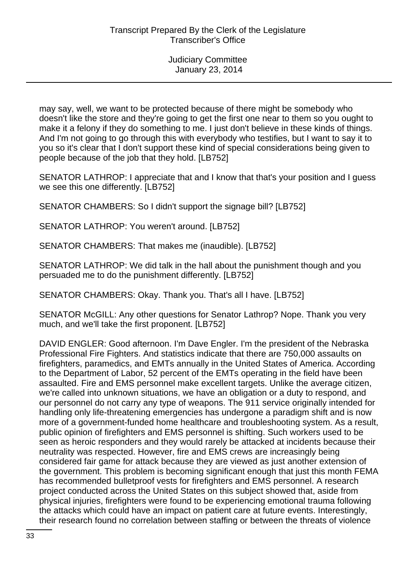may say, well, we want to be protected because of there might be somebody who doesn't like the store and they're going to get the first one near to them so you ought to make it a felony if they do something to me. I just don't believe in these kinds of things. And I'm not going to go through this with everybody who testifies, but I want to say it to you so it's clear that I don't support these kind of special considerations being given to people because of the job that they hold. [LB752]

SENATOR LATHROP: I appreciate that and I know that that's your position and I guess we see this one differently. [LB752]

SENATOR CHAMBERS: So I didn't support the signage bill? [LB752]

SENATOR LATHROP: You weren't around. [LB752]

SENATOR CHAMBERS: That makes me (inaudible). [LB752]

SENATOR LATHROP: We did talk in the hall about the punishment though and you persuaded me to do the punishment differently. [LB752]

SENATOR CHAMBERS: Okay. Thank you. That's all I have. [LB752]

SENATOR McGILL: Any other questions for Senator Lathrop? Nope. Thank you very much, and we'll take the first proponent. [LB752]

DAVID ENGLER: Good afternoon. I'm Dave Engler. I'm the president of the Nebraska Professional Fire Fighters. And statistics indicate that there are 750,000 assaults on firefighters, paramedics, and EMTs annually in the United States of America. According to the Department of Labor, 52 percent of the EMTs operating in the field have been assaulted. Fire and EMS personnel make excellent targets. Unlike the average citizen, we're called into unknown situations, we have an obligation or a duty to respond, and our personnel do not carry any type of weapons. The 911 service originally intended for handling only life-threatening emergencies has undergone a paradigm shift and is now more of a government-funded home healthcare and troubleshooting system. As a result, public opinion of firefighters and EMS personnel is shifting. Such workers used to be seen as heroic responders and they would rarely be attacked at incidents because their neutrality was respected. However, fire and EMS crews are increasingly being considered fair game for attack because they are viewed as just another extension of the government. This problem is becoming significant enough that just this month FEMA has recommended bulletproof vests for firefighters and EMS personnel. A research project conducted across the United States on this subject showed that, aside from physical injuries, firefighters were found to be experiencing emotional trauma following the attacks which could have an impact on patient care at future events. Interestingly, their research found no correlation between staffing or between the threats of violence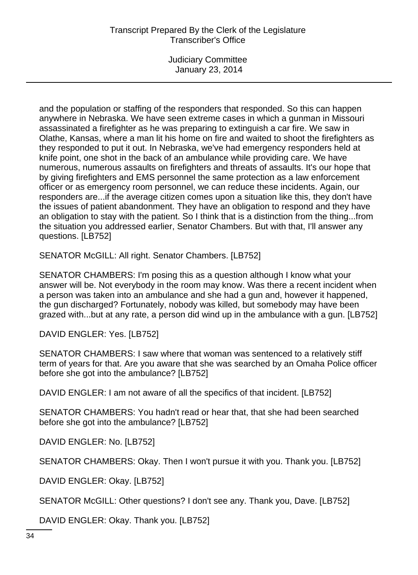Judiciary Committee January 23, 2014

and the population or staffing of the responders that responded. So this can happen anywhere in Nebraska. We have seen extreme cases in which a gunman in Missouri assassinated a firefighter as he was preparing to extinguish a car fire. We saw in Olathe, Kansas, where a man lit his home on fire and waited to shoot the firefighters as they responded to put it out. In Nebraska, we've had emergency responders held at knife point, one shot in the back of an ambulance while providing care. We have numerous, numerous assaults on firefighters and threats of assaults. It's our hope that by giving firefighters and EMS personnel the same protection as a law enforcement officer or as emergency room personnel, we can reduce these incidents. Again, our responders are...if the average citizen comes upon a situation like this, they don't have the issues of patient abandonment. They have an obligation to respond and they have an obligation to stay with the patient. So I think that is a distinction from the thing...from the situation you addressed earlier, Senator Chambers. But with that, I'll answer any questions. [LB752]

SENATOR McGILL: All right. Senator Chambers. [LB752]

SENATOR CHAMBERS: I'm posing this as a question although I know what your answer will be. Not everybody in the room may know. Was there a recent incident when a person was taken into an ambulance and she had a gun and, however it happened, the gun discharged? Fortunately, nobody was killed, but somebody may have been grazed with...but at any rate, a person did wind up in the ambulance with a gun. [LB752]

DAVID ENGLER: Yes. [LB752]

SENATOR CHAMBERS: I saw where that woman was sentenced to a relatively stiff term of years for that. Are you aware that she was searched by an Omaha Police officer before she got into the ambulance? [LB752]

DAVID ENGLER: I am not aware of all the specifics of that incident. [LB752]

SENATOR CHAMBERS: You hadn't read or hear that, that she had been searched before she got into the ambulance? [LB752]

DAVID ENGLER: No. [LB752]

SENATOR CHAMBERS: Okay. Then I won't pursue it with you. Thank you. [LB752]

DAVID ENGLER: Okay. [LB752]

SENATOR McGILL: Other questions? I don't see any. Thank you, Dave. [LB752]

DAVID ENGLER: Okay. Thank you. [LB752]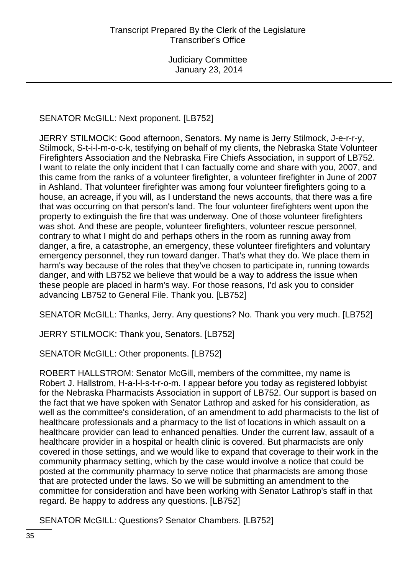# SENATOR McGILL: Next proponent. [LB752]

JERRY STILMOCK: Good afternoon, Senators. My name is Jerry Stilmock, J-e-r-r-y, Stilmock, S-t-i-l-m-o-c-k, testifying on behalf of my clients, the Nebraska State Volunteer Firefighters Association and the Nebraska Fire Chiefs Association, in support of LB752. I want to relate the only incident that I can factually come and share with you, 2007, and this came from the ranks of a volunteer firefighter, a volunteer firefighter in June of 2007 in Ashland. That volunteer firefighter was among four volunteer firefighters going to a house, an acreage, if you will, as I understand the news accounts, that there was a fire that was occurring on that person's land. The four volunteer firefighters went upon the property to extinguish the fire that was underway. One of those volunteer firefighters was shot. And these are people, volunteer firefighters, volunteer rescue personnel, contrary to what I might do and perhaps others in the room as running away from danger, a fire, a catastrophe, an emergency, these volunteer firefighters and voluntary emergency personnel, they run toward danger. That's what they do. We place them in harm's way because of the roles that they've chosen to participate in, running towards danger, and with LB752 we believe that would be a way to address the issue when these people are placed in harm's way. For those reasons, I'd ask you to consider advancing LB752 to General File. Thank you. [LB752]

SENATOR McGILL: Thanks, Jerry. Any questions? No. Thank you very much. [LB752]

JERRY STILMOCK: Thank you, Senators. [LB752]

SENATOR McGILL: Other proponents. [LB752]

ROBERT HALLSTROM: Senator McGill, members of the committee, my name is Robert J. Hallstrom, H-a-l-l-s-t-r-o-m. I appear before you today as registered lobbyist for the Nebraska Pharmacists Association in support of LB752. Our support is based on the fact that we have spoken with Senator Lathrop and asked for his consideration, as well as the committee's consideration, of an amendment to add pharmacists to the list of healthcare professionals and a pharmacy to the list of locations in which assault on a healthcare provider can lead to enhanced penalties. Under the current law, assault of a healthcare provider in a hospital or health clinic is covered. But pharmacists are only covered in those settings, and we would like to expand that coverage to their work in the community pharmacy setting, which by the case would involve a notice that could be posted at the community pharmacy to serve notice that pharmacists are among those that are protected under the laws. So we will be submitting an amendment to the committee for consideration and have been working with Senator Lathrop's staff in that regard. Be happy to address any questions. [LB752]

SENATOR McGILL: Questions? Senator Chambers. [LB752]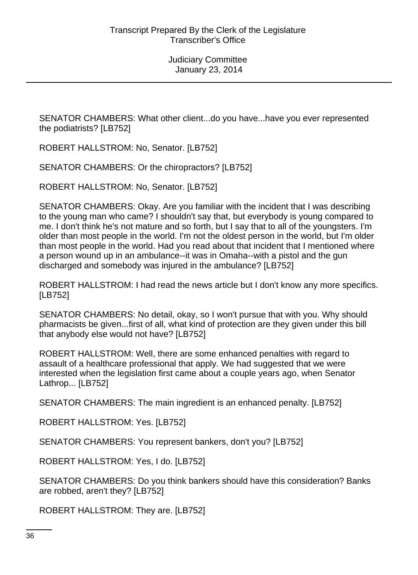SENATOR CHAMBERS: What other client...do you have...have you ever represented the podiatrists? [LB752]

ROBERT HALLSTROM: No, Senator. [LB752]

SENATOR CHAMBERS: Or the chiropractors? [LB752]

ROBERT HALLSTROM: No, Senator. [LB752]

SENATOR CHAMBERS: Okay. Are you familiar with the incident that I was describing to the young man who came? I shouldn't say that, but everybody is young compared to me. I don't think he's not mature and so forth, but I say that to all of the youngsters. I'm older than most people in the world. I'm not the oldest person in the world, but I'm older than most people in the world. Had you read about that incident that I mentioned where a person wound up in an ambulance--it was in Omaha--with a pistol and the gun discharged and somebody was injured in the ambulance? [LB752]

ROBERT HALLSTROM: I had read the news article but I don't know any more specifics. [LB752]

SENATOR CHAMBERS: No detail, okay, so I won't pursue that with you. Why should pharmacists be given...first of all, what kind of protection are they given under this bill that anybody else would not have? [LB752]

ROBERT HALLSTROM: Well, there are some enhanced penalties with regard to assault of a healthcare professional that apply. We had suggested that we were interested when the legislation first came about a couple years ago, when Senator Lathrop... [LB752]

SENATOR CHAMBERS: The main ingredient is an enhanced penalty. [LB752]

ROBERT HALLSTROM: Yes. [LB752]

SENATOR CHAMBERS: You represent bankers, don't you? [LB752]

ROBERT HALLSTROM: Yes, I do. [LB752]

SENATOR CHAMBERS: Do you think bankers should have this consideration? Banks are robbed, aren't they? [LB752]

ROBERT HALLSTROM: They are. [LB752]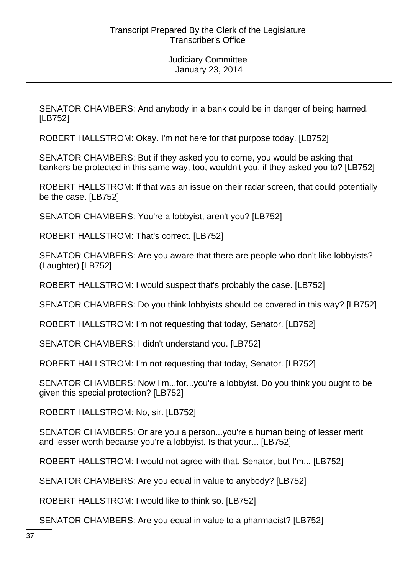SENATOR CHAMBERS: And anybody in a bank could be in danger of being harmed. [LB752]

ROBERT HALLSTROM: Okay. I'm not here for that purpose today. [LB752]

SENATOR CHAMBERS: But if they asked you to come, you would be asking that bankers be protected in this same way, too, wouldn't you, if they asked you to? [LB752]

ROBERT HALLSTROM: If that was an issue on their radar screen, that could potentially be the case. [LB752]

SENATOR CHAMBERS: You're a lobbyist, aren't you? [LB752]

ROBERT HALLSTROM: That's correct. [LB752]

SENATOR CHAMBERS: Are you aware that there are people who don't like lobbyists? (Laughter) [LB752]

ROBERT HALLSTROM: I would suspect that's probably the case. [LB752]

SENATOR CHAMBERS: Do you think lobbyists should be covered in this way? [LB752]

ROBERT HALLSTROM: I'm not requesting that today, Senator. [LB752]

SENATOR CHAMBERS: I didn't understand you. [LB752]

ROBERT HALLSTROM: I'm not requesting that today, Senator. [LB752]

SENATOR CHAMBERS: Now I'm...for...you're a lobbyist. Do you think you ought to be given this special protection? [LB752]

ROBERT HALLSTROM: No, sir. [LB752]

SENATOR CHAMBERS: Or are you a person...you're a human being of lesser merit and lesser worth because you're a lobbyist. Is that your... [LB752]

ROBERT HALLSTROM: I would not agree with that, Senator, but I'm... [LB752]

SENATOR CHAMBERS: Are you equal in value to anybody? [LB752]

ROBERT HALLSTROM: I would like to think so. [LB752]

SENATOR CHAMBERS: Are you equal in value to a pharmacist? [LB752]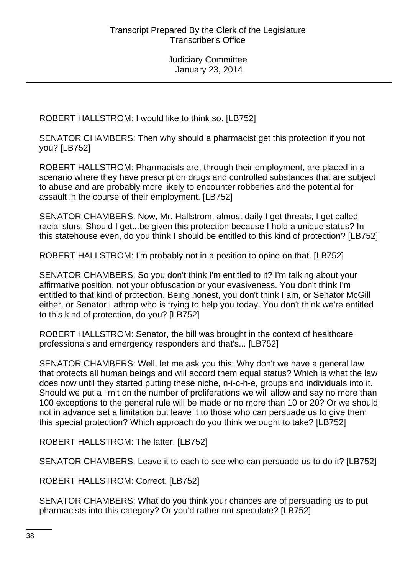ROBERT HALLSTROM: I would like to think so. [LB752]

SENATOR CHAMBERS: Then why should a pharmacist get this protection if you not you? [LB752]

ROBERT HALLSTROM: Pharmacists are, through their employment, are placed in a scenario where they have prescription drugs and controlled substances that are subject to abuse and are probably more likely to encounter robberies and the potential for assault in the course of their employment. [LB752]

SENATOR CHAMBERS: Now, Mr. Hallstrom, almost daily I get threats, I get called racial slurs. Should I get...be given this protection because I hold a unique status? In this statehouse even, do you think I should be entitled to this kind of protection? [LB752]

ROBERT HALLSTROM: I'm probably not in a position to opine on that. [LB752]

SENATOR CHAMBERS: So you don't think I'm entitled to it? I'm talking about your affirmative position, not your obfuscation or your evasiveness. You don't think I'm entitled to that kind of protection. Being honest, you don't think I am, or Senator McGill either, or Senator Lathrop who is trying to help you today. You don't think we're entitled to this kind of protection, do you? [LB752]

ROBERT HALLSTROM: Senator, the bill was brought in the context of healthcare professionals and emergency responders and that's... [LB752]

SENATOR CHAMBERS: Well, let me ask you this: Why don't we have a general law that protects all human beings and will accord them equal status? Which is what the law does now until they started putting these niche, n-i-c-h-e, groups and individuals into it. Should we put a limit on the number of proliferations we will allow and say no more than 100 exceptions to the general rule will be made or no more than 10 or 20? Or we should not in advance set a limitation but leave it to those who can persuade us to give them this special protection? Which approach do you think we ought to take? [LB752]

ROBERT HALLSTROM: The latter. [LB752]

SENATOR CHAMBERS: Leave it to each to see who can persuade us to do it? [LB752]

ROBERT HALLSTROM: Correct. [LB752]

SENATOR CHAMBERS: What do you think your chances are of persuading us to put pharmacists into this category? Or you'd rather not speculate? [LB752]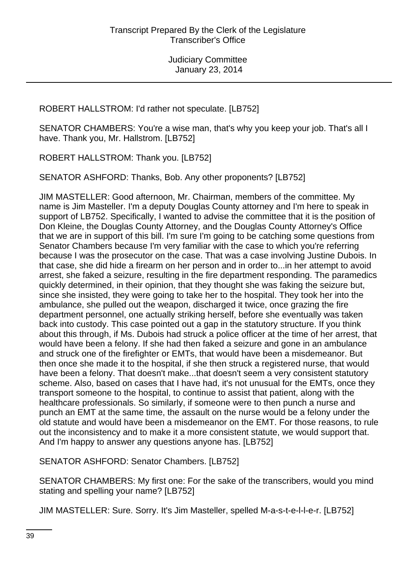ROBERT HALLSTROM: I'd rather not speculate. [LB752]

SENATOR CHAMBERS: You're a wise man, that's why you keep your job. That's all I have. Thank you, Mr. Hallstrom. [LB752]

ROBERT HALLSTROM: Thank you. [LB752]

SENATOR ASHFORD: Thanks, Bob. Any other proponents? [LB752]

JIM MASTELLER: Good afternoon, Mr. Chairman, members of the committee. My name is Jim Masteller. I'm a deputy Douglas County attorney and I'm here to speak in support of LB752. Specifically, I wanted to advise the committee that it is the position of Don Kleine, the Douglas County Attorney, and the Douglas County Attorney's Office that we are in support of this bill. I'm sure I'm going to be catching some questions from Senator Chambers because I'm very familiar with the case to which you're referring because I was the prosecutor on the case. That was a case involving Justine Dubois. In that case, she did hide a firearm on her person and in order to...in her attempt to avoid arrest, she faked a seizure, resulting in the fire department responding. The paramedics quickly determined, in their opinion, that they thought she was faking the seizure but, since she insisted, they were going to take her to the hospital. They took her into the ambulance, she pulled out the weapon, discharged it twice, once grazing the fire department personnel, one actually striking herself, before she eventually was taken back into custody. This case pointed out a gap in the statutory structure. If you think about this through, if Ms. Dubois had struck a police officer at the time of her arrest, that would have been a felony. If she had then faked a seizure and gone in an ambulance and struck one of the firefighter or EMTs, that would have been a misdemeanor. But then once she made it to the hospital, if she then struck a registered nurse, that would have been a felony. That doesn't make...that doesn't seem a very consistent statutory scheme. Also, based on cases that I have had, it's not unusual for the EMTs, once they transport someone to the hospital, to continue to assist that patient, along with the healthcare professionals. So similarly, if someone were to then punch a nurse and punch an EMT at the same time, the assault on the nurse would be a felony under the old statute and would have been a misdemeanor on the EMT. For those reasons, to rule out the inconsistency and to make it a more consistent statute, we would support that. And I'm happy to answer any questions anyone has. [LB752]

SENATOR ASHFORD: Senator Chambers. [LB752]

SENATOR CHAMBERS: My first one: For the sake of the transcribers, would you mind stating and spelling your name? [LB752]

JIM MASTELLER: Sure. Sorry. It's Jim Masteller, spelled M-a-s-t-e-l-l-e-r. [LB752]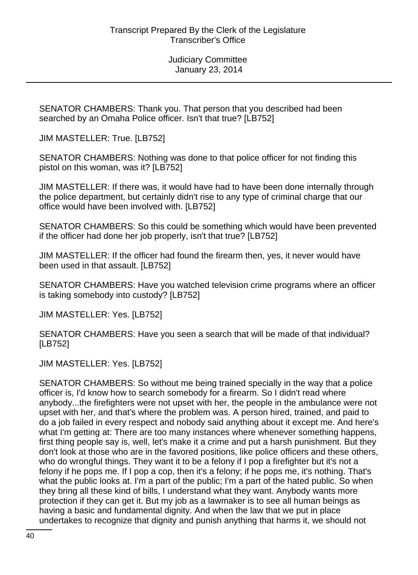SENATOR CHAMBERS: Thank you. That person that you described had been searched by an Omaha Police officer. Isn't that true? [LB752]

JIM MASTELLER: True. [LB752]

SENATOR CHAMBERS: Nothing was done to that police officer for not finding this pistol on this woman, was it? [LB752]

JIM MASTELLER: If there was, it would have had to have been done internally through the police department, but certainly didn't rise to any type of criminal charge that our office would have been involved with. [LB752]

SENATOR CHAMBERS: So this could be something which would have been prevented if the officer had done her job properly, isn't that true? [LB752]

JIM MASTELLER: If the officer had found the firearm then, yes, it never would have been used in that assault. [LB752]

SENATOR CHAMBERS: Have you watched television crime programs where an officer is taking somebody into custody? [LB752]

JIM MASTELLER: Yes. [LB752]

SENATOR CHAMBERS: Have you seen a search that will be made of that individual? [LB752]

JIM MASTELLER: Yes. [LB752]

SENATOR CHAMBERS: So without me being trained specially in the way that a police officer is, I'd know how to search somebody for a firearm. So I didn't read where anybody...the firefighters were not upset with her, the people in the ambulance were not upset with her, and that's where the problem was. A person hired, trained, and paid to do a job failed in every respect and nobody said anything about it except me. And here's what I'm getting at: There are too many instances where whenever something happens, first thing people say is, well, let's make it a crime and put a harsh punishment. But they don't look at those who are in the favored positions, like police officers and these others, who do wrongful things. They want it to be a felony if I pop a firefighter but it's not a felony if he pops me. If I pop a cop, then it's a felony; if he pops me, it's nothing. That's what the public looks at. I'm a part of the public; I'm a part of the hated public. So when they bring all these kind of bills, I understand what they want. Anybody wants more protection if they can get it. But my job as a lawmaker is to see all human beings as having a basic and fundamental dignity. And when the law that we put in place undertakes to recognize that dignity and punish anything that harms it, we should not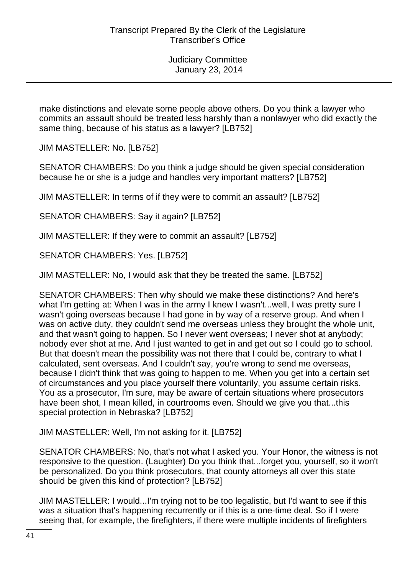make distinctions and elevate some people above others. Do you think a lawyer who commits an assault should be treated less harshly than a nonlawyer who did exactly the same thing, because of his status as a lawyer? [LB752]

JIM MASTELLER: No. [LB752]

SENATOR CHAMBERS: Do you think a judge should be given special consideration because he or she is a judge and handles very important matters? [LB752]

JIM MASTELLER: In terms of if they were to commit an assault? [LB752]

SENATOR CHAMBERS: Say it again? [LB752]

JIM MASTELLER: If they were to commit an assault? [LB752]

SENATOR CHAMBERS: Yes. [LB752]

JIM MASTELLER: No, I would ask that they be treated the same. [LB752]

SENATOR CHAMBERS: Then why should we make these distinctions? And here's what I'm getting at: When I was in the army I knew I wasn't...well, I was pretty sure I wasn't going overseas because I had gone in by way of a reserve group. And when I was on active duty, they couldn't send me overseas unless they brought the whole unit, and that wasn't going to happen. So I never went overseas; I never shot at anybody; nobody ever shot at me. And I just wanted to get in and get out so I could go to school. But that doesn't mean the possibility was not there that I could be, contrary to what I calculated, sent overseas. And I couldn't say, you're wrong to send me overseas, because I didn't think that was going to happen to me. When you get into a certain set of circumstances and you place yourself there voluntarily, you assume certain risks. You as a prosecutor, I'm sure, may be aware of certain situations where prosecutors have been shot, I mean killed, in courtrooms even. Should we give you that...this special protection in Nebraska? [LB752]

JIM MASTELLER: Well, I'm not asking for it. [LB752]

SENATOR CHAMBERS: No, that's not what I asked you. Your Honor, the witness is not responsive to the question. (Laughter) Do you think that...forget you, yourself, so it won't be personalized. Do you think prosecutors, that county attorneys all over this state should be given this kind of protection? [LB752]

JIM MASTELLER: I would...I'm trying not to be too legalistic, but I'd want to see if this was a situation that's happening recurrently or if this is a one-time deal. So if I were seeing that, for example, the firefighters, if there were multiple incidents of firefighters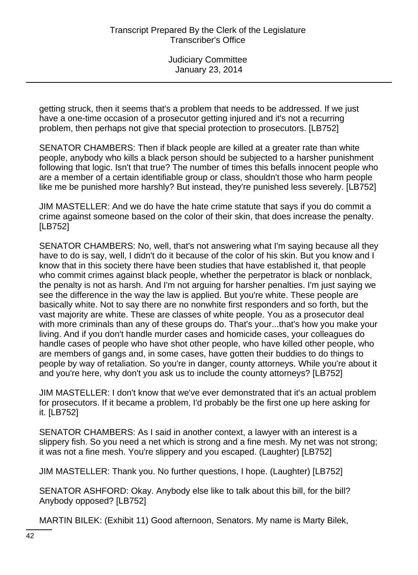getting struck, then it seems that's a problem that needs to be addressed. If we just have a one-time occasion of a prosecutor getting injured and it's not a recurring problem, then perhaps not give that special protection to prosecutors. [LB752]

SENATOR CHAMBERS: Then if black people are killed at a greater rate than white people, anybody who kills a black person should be subjected to a harsher punishment following that logic. Isn't that true? The number of times this befalls innocent people who are a member of a certain identifiable group or class, shouldn't those who harm people like me be punished more harshly? But instead, they're punished less severely. [LB752]

JIM MASTELLER: And we do have the hate crime statute that says if you do commit a crime against someone based on the color of their skin, that does increase the penalty. [LB752]

SENATOR CHAMBERS: No, well, that's not answering what I'm saying because all they have to do is say, well, I didn't do it because of the color of his skin. But you know and I know that in this society there have been studies that have established it, that people who commit crimes against black people, whether the perpetrator is black or nonblack, the penalty is not as harsh. And I'm not arguing for harsher penalties. I'm just saying we see the difference in the way the law is applied. But you're white. These people are basically white. Not to say there are no nonwhite first responders and so forth, but the vast majority are white. These are classes of white people. You as a prosecutor deal with more criminals than any of these groups do. That's your...that's how you make your living. And if you don't handle murder cases and homicide cases, your colleagues do handle cases of people who have shot other people, who have killed other people, who are members of gangs and, in some cases, have gotten their buddies to do things to people by way of retaliation. So you're in danger, county attorneys. While you're about it and you're here, why don't you ask us to include the county attorneys? [LB752]

JIM MASTELLER: I don't know that we've ever demonstrated that it's an actual problem for prosecutors. If it became a problem, I'd probably be the first one up here asking for it. [LB752]

SENATOR CHAMBERS: As I said in another context, a lawyer with an interest is a slippery fish. So you need a net which is strong and a fine mesh. My net was not strong; it was not a fine mesh. You're slippery and you escaped. (Laughter) [LB752]

JIM MASTELLER: Thank you. No further questions, I hope. (Laughter) [LB752]

SENATOR ASHFORD: Okay. Anybody else like to talk about this bill, for the bill? Anybody opposed? [LB752]

MARTIN BILEK: (Exhibit 11) Good afternoon, Senators. My name is Marty Bilek,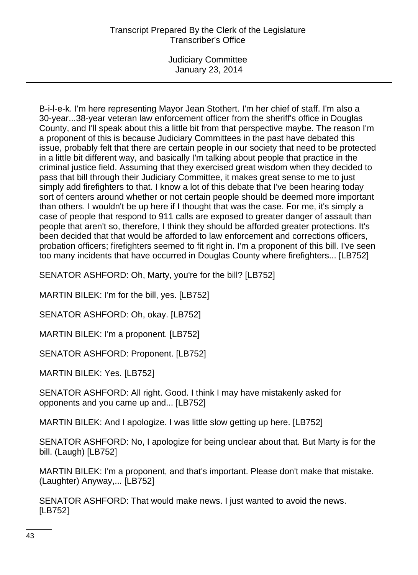Judiciary Committee January 23, 2014

B-i-l-e-k. I'm here representing Mayor Jean Stothert. I'm her chief of staff. I'm also a 30-year...38-year veteran law enforcement officer from the sheriff's office in Douglas County, and I'll speak about this a little bit from that perspective maybe. The reason I'm a proponent of this is because Judiciary Committees in the past have debated this issue, probably felt that there are certain people in our society that need to be protected in a little bit different way, and basically I'm talking about people that practice in the criminal justice field. Assuming that they exercised great wisdom when they decided to pass that bill through their Judiciary Committee, it makes great sense to me to just simply add firefighters to that. I know a lot of this debate that I've been hearing today sort of centers around whether or not certain people should be deemed more important than others. I wouldn't be up here if I thought that was the case. For me, it's simply a case of people that respond to 911 calls are exposed to greater danger of assault than people that aren't so, therefore, I think they should be afforded greater protections. It's been decided that that would be afforded to law enforcement and corrections officers, probation officers; firefighters seemed to fit right in. I'm a proponent of this bill. I've seen too many incidents that have occurred in Douglas County where firefighters... [LB752]

SENATOR ASHFORD: Oh, Marty, you're for the bill? [LB752]

MARTIN BILEK: I'm for the bill, yes. [LB752]

SENATOR ASHFORD: Oh, okay. [LB752]

MARTIN BILEK: I'm a proponent. [LB752]

SENATOR ASHFORD: Proponent. [LB752]

MARTIN BILEK: Yes. [LB752]

SENATOR ASHFORD: All right. Good. I think I may have mistakenly asked for opponents and you came up and... [LB752]

MARTIN BILEK: And I apologize. I was little slow getting up here. [LB752]

SENATOR ASHFORD: No, I apologize for being unclear about that. But Marty is for the bill. (Laugh) [LB752]

MARTIN BILEK: I'm a proponent, and that's important. Please don't make that mistake. (Laughter) Anyway,... [LB752]

SENATOR ASHFORD: That would make news. I just wanted to avoid the news. [LB752]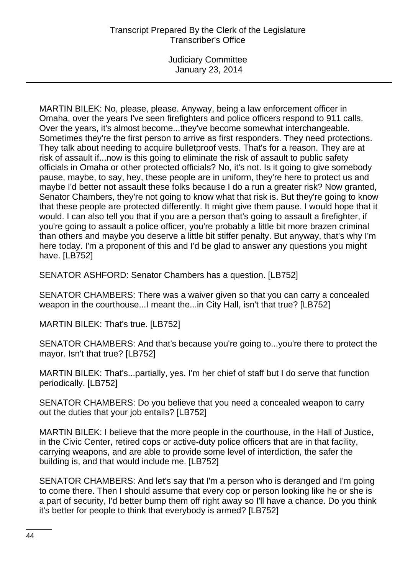Judiciary Committee January 23, 2014

MARTIN BILEK: No, please, please. Anyway, being a law enforcement officer in Omaha, over the years I've seen firefighters and police officers respond to 911 calls. Over the years, it's almost become...they've become somewhat interchangeable. Sometimes they're the first person to arrive as first responders. They need protections. They talk about needing to acquire bulletproof vests. That's for a reason. They are at risk of assault if...now is this going to eliminate the risk of assault to public safety officials in Omaha or other protected officials? No, it's not. Is it going to give somebody pause, maybe, to say, hey, these people are in uniform, they're here to protect us and maybe I'd better not assault these folks because I do a run a greater risk? Now granted, Senator Chambers, they're not going to know what that risk is. But they're going to know that these people are protected differently. It might give them pause. I would hope that it would. I can also tell you that if you are a person that's going to assault a firefighter, if you're going to assault a police officer, you're probably a little bit more brazen criminal than others and maybe you deserve a little bit stiffer penalty. But anyway, that's why I'm here today. I'm a proponent of this and I'd be glad to answer any questions you might have. [LB752]

SENATOR ASHFORD: Senator Chambers has a question. [LB752]

SENATOR CHAMBERS: There was a waiver given so that you can carry a concealed weapon in the courthouse...I meant the...in City Hall, isn't that true? [LB752]

MARTIN BILEK: That's true. [LB752]

SENATOR CHAMBERS: And that's because you're going to...you're there to protect the mayor. Isn't that true? [LB752]

MARTIN BILEK: That's...partially, yes. I'm her chief of staff but I do serve that function periodically. [LB752]

SENATOR CHAMBERS: Do you believe that you need a concealed weapon to carry out the duties that your job entails? [LB752]

MARTIN BILEK: I believe that the more people in the courthouse, in the Hall of Justice, in the Civic Center, retired cops or active-duty police officers that are in that facility, carrying weapons, and are able to provide some level of interdiction, the safer the building is, and that would include me. [LB752]

SENATOR CHAMBERS: And let's say that I'm a person who is deranged and I'm going to come there. Then I should assume that every cop or person looking like he or she is a part of security, I'd better bump them off right away so I'll have a chance. Do you think it's better for people to think that everybody is armed? [LB752]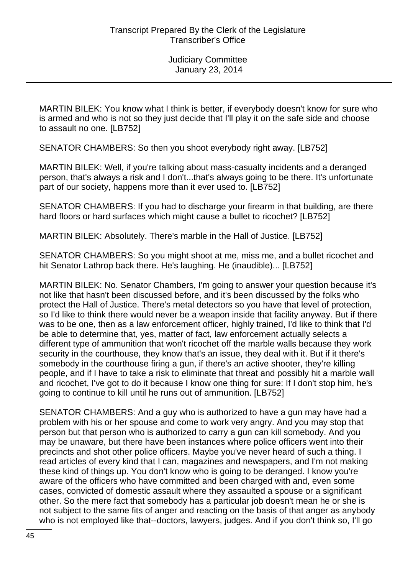MARTIN BILEK: You know what I think is better, if everybody doesn't know for sure who is armed and who is not so they just decide that I'll play it on the safe side and choose to assault no one. [LB752]

SENATOR CHAMBERS: So then you shoot everybody right away. [LB752]

MARTIN BILEK: Well, if you're talking about mass-casualty incidents and a deranged person, that's always a risk and I don't...that's always going to be there. It's unfortunate part of our society, happens more than it ever used to. [LB752]

SENATOR CHAMBERS: If you had to discharge your firearm in that building, are there hard floors or hard surfaces which might cause a bullet to ricochet? [LB752]

MARTIN BILEK: Absolutely. There's marble in the Hall of Justice. [LB752]

SENATOR CHAMBERS: So you might shoot at me, miss me, and a bullet ricochet and hit Senator Lathrop back there. He's laughing. He (inaudible)... [LB752]

MARTIN BILEK: No. Senator Chambers, I'm going to answer your question because it's not like that hasn't been discussed before, and it's been discussed by the folks who protect the Hall of Justice. There's metal detectors so you have that level of protection, so I'd like to think there would never be a weapon inside that facility anyway. But if there was to be one, then as a law enforcement officer, highly trained, I'd like to think that I'd be able to determine that, yes, matter of fact, law enforcement actually selects a different type of ammunition that won't ricochet off the marble walls because they work security in the courthouse, they know that's an issue, they deal with it. But if it there's somebody in the courthouse firing a gun, if there's an active shooter, they're killing people, and if I have to take a risk to eliminate that threat and possibly hit a marble wall and ricochet, I've got to do it because I know one thing for sure: If I don't stop him, he's going to continue to kill until he runs out of ammunition. [LB752]

SENATOR CHAMBERS: And a guy who is authorized to have a gun may have had a problem with his or her spouse and come to work very angry. And you may stop that person but that person who is authorized to carry a gun can kill somebody. And you may be unaware, but there have been instances where police officers went into their precincts and shot other police officers. Maybe you've never heard of such a thing. I read articles of every kind that I can, magazines and newspapers, and I'm not making these kind of things up. You don't know who is going to be deranged. I know you're aware of the officers who have committed and been charged with and, even some cases, convicted of domestic assault where they assaulted a spouse or a significant other. So the mere fact that somebody has a particular job doesn't mean he or she is not subject to the same fits of anger and reacting on the basis of that anger as anybody who is not employed like that--doctors, lawyers, judges. And if you don't think so, I'll go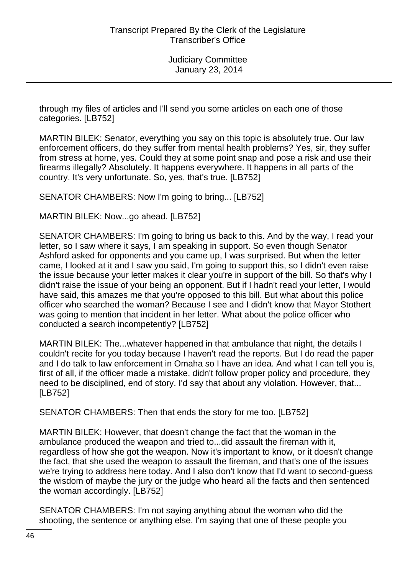through my files of articles and I'll send you some articles on each one of those categories. [LB752]

MARTIN BILEK: Senator, everything you say on this topic is absolutely true. Our law enforcement officers, do they suffer from mental health problems? Yes, sir, they suffer from stress at home, yes. Could they at some point snap and pose a risk and use their firearms illegally? Absolutely. It happens everywhere. It happens in all parts of the country. It's very unfortunate. So, yes, that's true. [LB752]

SENATOR CHAMBERS: Now I'm going to bring... [LB752]

MARTIN BILEK: Now...go ahead. [LB752]

SENATOR CHAMBERS: I'm going to bring us back to this. And by the way, I read your letter, so I saw where it says, I am speaking in support. So even though Senator Ashford asked for opponents and you came up, I was surprised. But when the letter came, I looked at it and I saw you said, I'm going to support this, so I didn't even raise the issue because your letter makes it clear you're in support of the bill. So that's why I didn't raise the issue of your being an opponent. But if I hadn't read your letter, I would have said, this amazes me that you're opposed to this bill. But what about this police officer who searched the woman? Because I see and I didn't know that Mayor Stothert was going to mention that incident in her letter. What about the police officer who conducted a search incompetently? [LB752]

MARTIN BILEK: The...whatever happened in that ambulance that night, the details I couldn't recite for you today because I haven't read the reports. But I do read the paper and I do talk to law enforcement in Omaha so I have an idea. And what I can tell you is, first of all, if the officer made a mistake, didn't follow proper policy and procedure, they need to be disciplined, end of story. I'd say that about any violation. However, that... [LB752]

SENATOR CHAMBERS: Then that ends the story for me too. [LB752]

MARTIN BILEK: However, that doesn't change the fact that the woman in the ambulance produced the weapon and tried to...did assault the fireman with it, regardless of how she got the weapon. Now it's important to know, or it doesn't change the fact, that she used the weapon to assault the fireman, and that's one of the issues we're trying to address here today. And I also don't know that I'd want to second-guess the wisdom of maybe the jury or the judge who heard all the facts and then sentenced the woman accordingly. [LB752]

SENATOR CHAMBERS: I'm not saying anything about the woman who did the shooting, the sentence or anything else. I'm saying that one of these people you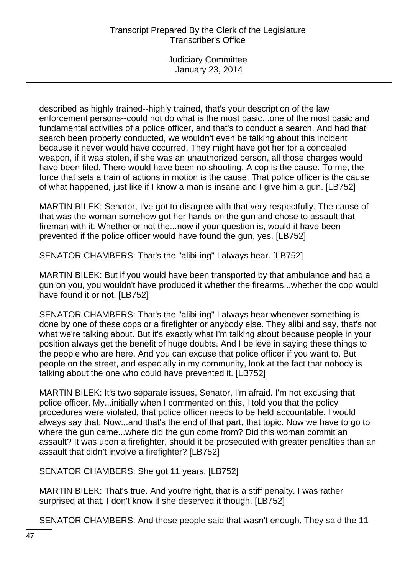described as highly trained--highly trained, that's your description of the law enforcement persons--could not do what is the most basic...one of the most basic and fundamental activities of a police officer, and that's to conduct a search. And had that search been properly conducted, we wouldn't even be talking about this incident because it never would have occurred. They might have got her for a concealed weapon, if it was stolen, if she was an unauthorized person, all those charges would have been filed. There would have been no shooting. A cop is the cause. To me, the force that sets a train of actions in motion is the cause. That police officer is the cause of what happened, just like if I know a man is insane and I give him a gun. [LB752]

MARTIN BILEK: Senator, I've got to disagree with that very respectfully. The cause of that was the woman somehow got her hands on the gun and chose to assault that fireman with it. Whether or not the...now if your question is, would it have been prevented if the police officer would have found the gun, yes. [LB752]

SENATOR CHAMBERS: That's the "alibi-ing" I always hear. [LB752]

MARTIN BILEK: But if you would have been transported by that ambulance and had a gun on you, you wouldn't have produced it whether the firearms...whether the cop would have found it or not. [LB752]

SENATOR CHAMBERS: That's the "alibi-ing" I always hear whenever something is done by one of these cops or a firefighter or anybody else. They alibi and say, that's not what we're talking about. But it's exactly what I'm talking about because people in your position always get the benefit of huge doubts. And I believe in saying these things to the people who are here. And you can excuse that police officer if you want to. But people on the street, and especially in my community, look at the fact that nobody is talking about the one who could have prevented it. [LB752]

MARTIN BILEK: It's two separate issues, Senator, I'm afraid. I'm not excusing that police officer. My...initially when I commented on this, I told you that the policy procedures were violated, that police officer needs to be held accountable. I would always say that. Now...and that's the end of that part, that topic. Now we have to go to where the gun came...where did the gun come from? Did this woman commit an assault? It was upon a firefighter, should it be prosecuted with greater penalties than an assault that didn't involve a firefighter? [LB752]

SENATOR CHAMBERS: She got 11 years. [LB752]

MARTIN BILEK: That's true. And you're right, that is a stiff penalty. I was rather surprised at that. I don't know if she deserved it though. [LB752]

SENATOR CHAMBERS: And these people said that wasn't enough. They said the 11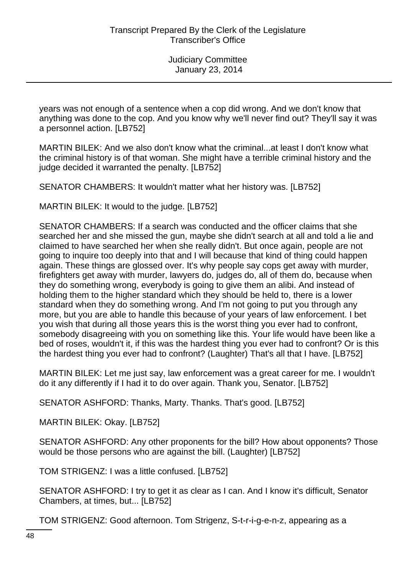years was not enough of a sentence when a cop did wrong. And we don't know that anything was done to the cop. And you know why we'll never find out? They'll say it was a personnel action. [LB752]

MARTIN BILEK: And we also don't know what the criminal...at least I don't know what the criminal history is of that woman. She might have a terrible criminal history and the judge decided it warranted the penalty. [LB752]

SENATOR CHAMBERS: It wouldn't matter what her history was. [LB752]

MARTIN BILEK: It would to the judge. [LB752]

SENATOR CHAMBERS: If a search was conducted and the officer claims that she searched her and she missed the gun, maybe she didn't search at all and told a lie and claimed to have searched her when she really didn't. But once again, people are not going to inquire too deeply into that and I will because that kind of thing could happen again. These things are glossed over. It's why people say cops get away with murder, firefighters get away with murder, lawyers do, judges do, all of them do, because when they do something wrong, everybody is going to give them an alibi. And instead of holding them to the higher standard which they should be held to, there is a lower standard when they do something wrong. And I'm not going to put you through any more, but you are able to handle this because of your years of law enforcement. I bet you wish that during all those years this is the worst thing you ever had to confront, somebody disagreeing with you on something like this. Your life would have been like a bed of roses, wouldn't it, if this was the hardest thing you ever had to confront? Or is this the hardest thing you ever had to confront? (Laughter) That's all that I have. [LB752]

MARTIN BILEK: Let me just say, law enforcement was a great career for me. I wouldn't do it any differently if I had it to do over again. Thank you, Senator. [LB752]

SENATOR ASHFORD: Thanks, Marty. Thanks. That's good. [LB752]

MARTIN BILEK: Okay. [LB752]

SENATOR ASHFORD: Any other proponents for the bill? How about opponents? Those would be those persons who are against the bill. (Laughter) [LB752]

TOM STRIGENZ: I was a little confused. [LB752]

SENATOR ASHFORD: I try to get it as clear as I can. And I know it's difficult, Senator Chambers, at times, but... [LB752]

TOM STRIGENZ: Good afternoon. Tom Strigenz, S-t-r-i-g-e-n-z, appearing as a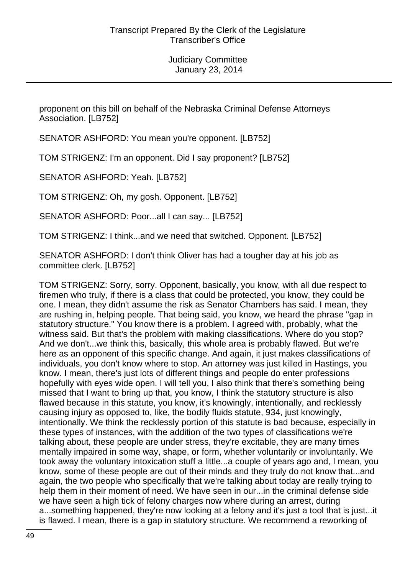proponent on this bill on behalf of the Nebraska Criminal Defense Attorneys Association. [LB752]

SENATOR ASHFORD: You mean you're opponent. [LB752]

TOM STRIGENZ: I'm an opponent. Did I say proponent? [LB752]

SENATOR ASHFORD: Yeah. [LB752]

TOM STRIGENZ: Oh, my gosh. Opponent. [LB752]

SENATOR ASHFORD: Poor...all I can say... [LB752]

TOM STRIGENZ: I think...and we need that switched. Opponent. [LB752]

SENATOR ASHFORD: I don't think Oliver has had a tougher day at his job as committee clerk. [LB752]

TOM STRIGENZ: Sorry, sorry. Opponent, basically, you know, with all due respect to firemen who truly, if there is a class that could be protected, you know, they could be one. I mean, they didn't assume the risk as Senator Chambers has said. I mean, they are rushing in, helping people. That being said, you know, we heard the phrase "gap in statutory structure." You know there is a problem. I agreed with, probably, what the witness said. But that's the problem with making classifications. Where do you stop? And we don't...we think this, basically, this whole area is probably flawed. But we're here as an opponent of this specific change. And again, it just makes classifications of individuals, you don't know where to stop. An attorney was just killed in Hastings, you know. I mean, there's just lots of different things and people do enter professions hopefully with eyes wide open. I will tell you, I also think that there's something being missed that I want to bring up that, you know, I think the statutory structure is also flawed because in this statute, you know, it's knowingly, intentionally, and recklessly causing injury as opposed to, like, the bodily fluids statute, 934, just knowingly, intentionally. We think the recklessly portion of this statute is bad because, especially in these types of instances, with the addition of the two types of classifications we're talking about, these people are under stress, they're excitable, they are many times mentally impaired in some way, shape, or form, whether voluntarily or involuntarily. We took away the voluntary intoxication stuff a little...a couple of years ago and, I mean, you know, some of these people are out of their minds and they truly do not know that...and again, the two people who specifically that we're talking about today are really trying to help them in their moment of need. We have seen in our...in the criminal defense side we have seen a high tick of felony charges now where during an arrest, during a...something happened, they're now looking at a felony and it's just a tool that is just...it is flawed. I mean, there is a gap in statutory structure. We recommend a reworking of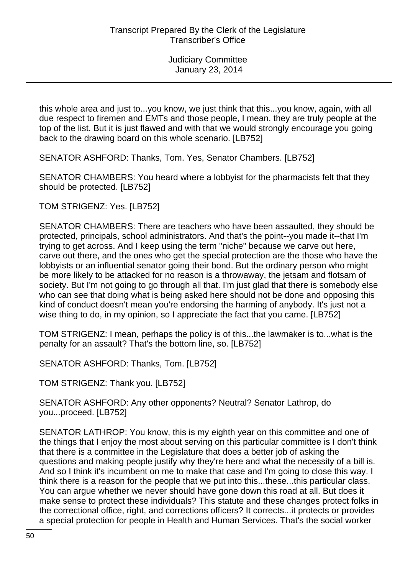this whole area and just to...you know, we just think that this...you know, again, with all due respect to firemen and EMTs and those people, I mean, they are truly people at the top of the list. But it is just flawed and with that we would strongly encourage you going back to the drawing board on this whole scenario. [LB752]

SENATOR ASHFORD: Thanks, Tom. Yes, Senator Chambers. [LB752]

SENATOR CHAMBERS: You heard where a lobbyist for the pharmacists felt that they should be protected. [LB752]

TOM STRIGENZ: Yes. [LB752]

SENATOR CHAMBERS: There are teachers who have been assaulted, they should be protected, principals, school administrators. And that's the point--you made it--that I'm trying to get across. And I keep using the term "niche" because we carve out here, carve out there, and the ones who get the special protection are the those who have the lobbyists or an influential senator going their bond. But the ordinary person who might be more likely to be attacked for no reason is a throwaway, the jetsam and flotsam of society. But I'm not going to go through all that. I'm just glad that there is somebody else who can see that doing what is being asked here should not be done and opposing this kind of conduct doesn't mean you're endorsing the harming of anybody. It's just not a wise thing to do, in my opinion, so I appreciate the fact that you came. [LB752]

TOM STRIGENZ: I mean, perhaps the policy is of this...the lawmaker is to...what is the penalty for an assault? That's the bottom line, so. [LB752]

SENATOR ASHFORD: Thanks, Tom. [LB752]

TOM STRIGENZ: Thank you. [LB752]

SENATOR ASHFORD: Any other opponents? Neutral? Senator Lathrop, do you...proceed. [LB752]

SENATOR LATHROP: You know, this is my eighth year on this committee and one of the things that I enjoy the most about serving on this particular committee is I don't think that there is a committee in the Legislature that does a better job of asking the questions and making people justify why they're here and what the necessity of a bill is. And so I think it's incumbent on me to make that case and I'm going to close this way. I think there is a reason for the people that we put into this...these...this particular class. You can argue whether we never should have gone down this road at all. But does it make sense to protect these individuals? This statute and these changes protect folks in the correctional office, right, and corrections officers? It corrects...it protects or provides a special protection for people in Health and Human Services. That's the social worker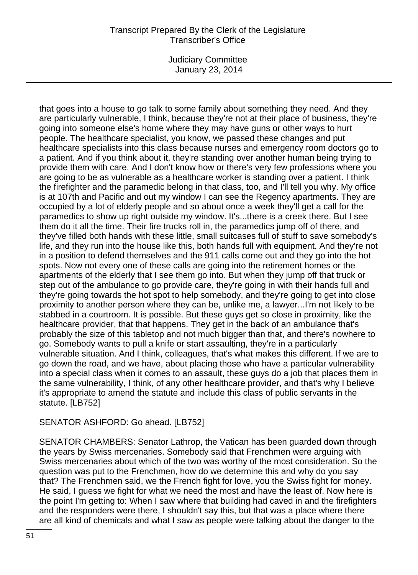Judiciary Committee January 23, 2014

that goes into a house to go talk to some family about something they need. And they are particularly vulnerable, I think, because they're not at their place of business, they're going into someone else's home where they may have guns or other ways to hurt people. The healthcare specialist, you know, we passed these changes and put healthcare specialists into this class because nurses and emergency room doctors go to a patient. And if you think about it, they're standing over another human being trying to provide them with care. And I don't know how or there's very few professions where you are going to be as vulnerable as a healthcare worker is standing over a patient. I think the firefighter and the paramedic belong in that class, too, and I'll tell you why. My office is at 107th and Pacific and out my window I can see the Regency apartments. They are occupied by a lot of elderly people and so about once a week they'll get a call for the paramedics to show up right outside my window. It's...there is a creek there. But I see them do it all the time. Their fire trucks roll in, the paramedics jump off of there, and they've filled both hands with these little, small suitcases full of stuff to save somebody's life, and they run into the house like this, both hands full with equipment. And they're not in a position to defend themselves and the 911 calls come out and they go into the hot spots. Now not every one of these calls are going into the retirement homes or the apartments of the elderly that I see them go into. But when they jump off that truck or step out of the ambulance to go provide care, they're going in with their hands full and they're going towards the hot spot to help somebody, and they're going to get into close proximity to another person where they can be, unlike me, a lawyer...I'm not likely to be stabbed in a courtroom. It is possible. But these guys get so close in proximity, like the healthcare provider, that that happens. They get in the back of an ambulance that's probably the size of this tabletop and not much bigger than that, and there's nowhere to go. Somebody wants to pull a knife or start assaulting, they're in a particularly vulnerable situation. And I think, colleagues, that's what makes this different. If we are to go down the road, and we have, about placing those who have a particular vulnerability into a special class when it comes to an assault, these guys do a job that places them in the same vulnerability, I think, of any other healthcare provider, and that's why I believe it's appropriate to amend the statute and include this class of public servants in the statute. [LB752]

# SENATOR ASHFORD: Go ahead. [LB752]

SENATOR CHAMBERS: Senator Lathrop, the Vatican has been guarded down through the years by Swiss mercenaries. Somebody said that Frenchmen were arguing with Swiss mercenaries about which of the two was worthy of the most consideration. So the question was put to the Frenchmen, how do we determine this and why do you say that? The Frenchmen said, we the French fight for love, you the Swiss fight for money. He said, I guess we fight for what we need the most and have the least of. Now here is the point I'm getting to: When I saw where that building had caved in and the firefighters and the responders were there, I shouldn't say this, but that was a place where there are all kind of chemicals and what I saw as people were talking about the danger to the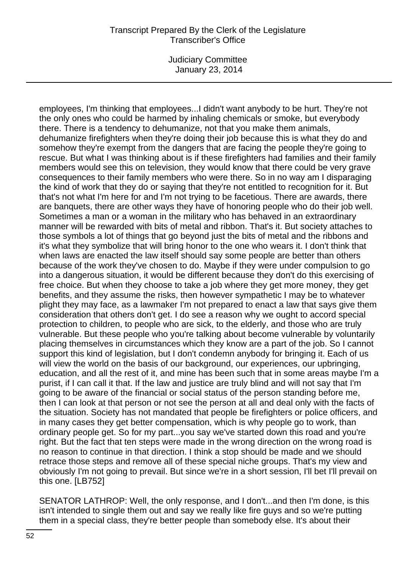Judiciary Committee January 23, 2014

employees, I'm thinking that employees...I didn't want anybody to be hurt. They're not the only ones who could be harmed by inhaling chemicals or smoke, but everybody there. There is a tendency to dehumanize, not that you make them animals, dehumanize firefighters when they're doing their job because this is what they do and somehow they're exempt from the dangers that are facing the people they're going to rescue. But what I was thinking about is if these firefighters had families and their family members would see this on television, they would know that there could be very grave consequences to their family members who were there. So in no way am I disparaging the kind of work that they do or saying that they're not entitled to recognition for it. But that's not what I'm here for and I'm not trying to be facetious. There are awards, there are banquets, there are other ways they have of honoring people who do their job well. Sometimes a man or a woman in the military who has behaved in an extraordinary manner will be rewarded with bits of metal and ribbon. That's it. But society attaches to those symbols a lot of things that go beyond just the bits of metal and the ribbons and it's what they symbolize that will bring honor to the one who wears it. I don't think that when laws are enacted the law itself should say some people are better than others because of the work they've chosen to do. Maybe if they were under compulsion to go into a dangerous situation, it would be different because they don't do this exercising of free choice. But when they choose to take a job where they get more money, they get benefits, and they assume the risks, then however sympathetic I may be to whatever plight they may face, as a lawmaker I'm not prepared to enact a law that says give them consideration that others don't get. I do see a reason why we ought to accord special protection to children, to people who are sick, to the elderly, and those who are truly vulnerable. But these people who you're talking about become vulnerable by voluntarily placing themselves in circumstances which they know are a part of the job. So I cannot support this kind of legislation, but I don't condemn anybody for bringing it. Each of us will view the world on the basis of our background, our experiences, our upbringing, education, and all the rest of it, and mine has been such that in some areas maybe I'm a purist, if I can call it that. If the law and justice are truly blind and will not say that I'm going to be aware of the financial or social status of the person standing before me, then I can look at that person or not see the person at all and deal only with the facts of the situation. Society has not mandated that people be firefighters or police officers, and in many cases they get better compensation, which is why people go to work, than ordinary people get. So for my part...you say we've started down this road and you're right. But the fact that ten steps were made in the wrong direction on the wrong road is no reason to continue in that direction. I think a stop should be made and we should retrace those steps and remove all of these special niche groups. That's my view and obviously I'm not going to prevail. But since we're in a short session, I'll bet I'll prevail on this one. [LB752]

SENATOR LATHROP: Well, the only response, and I don't...and then I'm done, is this isn't intended to single them out and say we really like fire guys and so we're putting them in a special class, they're better people than somebody else. It's about their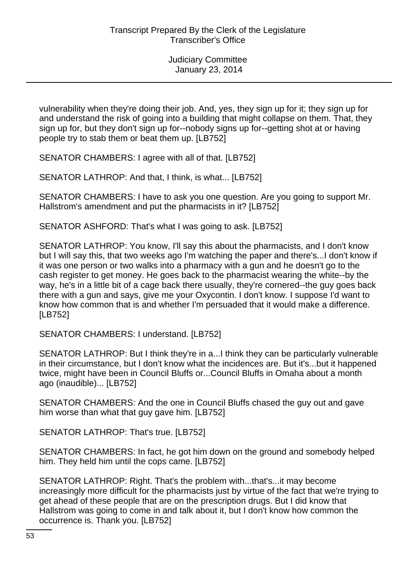vulnerability when they're doing their job. And, yes, they sign up for it; they sign up for and understand the risk of going into a building that might collapse on them. That, they sign up for, but they don't sign up for--nobody signs up for--getting shot at or having people try to stab them or beat them up. [LB752]

SENATOR CHAMBERS: I agree with all of that. [LB752]

SENATOR LATHROP: And that, I think, is what... [LB752]

SENATOR CHAMBERS: I have to ask you one question. Are you going to support Mr. Hallstrom's amendment and put the pharmacists in it? [LB752]

SENATOR ASHFORD: That's what I was going to ask. [LB752]

SENATOR LATHROP: You know, I'll say this about the pharmacists, and I don't know but I will say this, that two weeks ago I'm watching the paper and there's...I don't know if it was one person or two walks into a pharmacy with a gun and he doesn't go to the cash register to get money. He goes back to the pharmacist wearing the white--by the way, he's in a little bit of a cage back there usually, they're cornered--the guy goes back there with a gun and says, give me your Oxycontin. I don't know. I suppose I'd want to know how common that is and whether I'm persuaded that it would make a difference. [LB752]

SENATOR CHAMBERS: I understand. [LB752]

SENATOR LATHROP: But I think they're in a...I think they can be particularly vulnerable in their circumstance, but I don't know what the incidences are. But it's...but it happened twice, might have been in Council Bluffs or...Council Bluffs in Omaha about a month ago (inaudible)... [LB752]

SENATOR CHAMBERS: And the one in Council Bluffs chased the guy out and gave him worse than what that guy gave him. [LB752]

SENATOR LATHROP: That's true. [LB752]

SENATOR CHAMBERS: In fact, he got him down on the ground and somebody helped him. They held him until the cops came. [LB752]

SENATOR LATHROP: Right. That's the problem with...that's...it may become increasingly more difficult for the pharmacists just by virtue of the fact that we're trying to get ahead of these people that are on the prescription drugs. But I did know that Hallstrom was going to come in and talk about it, but I don't know how common the occurrence is. Thank you. [LB752]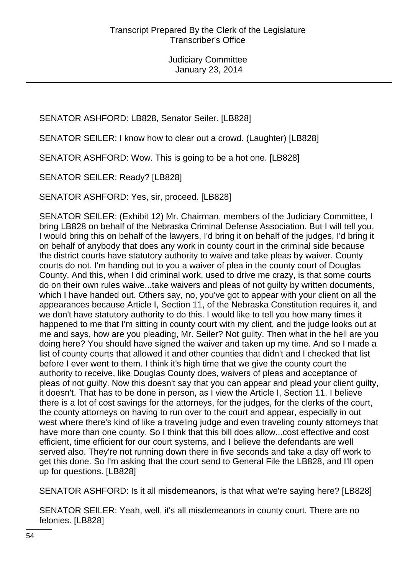# SENATOR ASHFORD: LB828, Senator Seiler. [LB828]

SENATOR SEILER: I know how to clear out a crowd. (Laughter) [LB828]

SENATOR ASHFORD: Wow. This is going to be a hot one. [LB828]

SENATOR SEILER: Ready? [LB828]

SENATOR ASHFORD: Yes, sir, proceed. [LB828]

SENATOR SEILER: (Exhibit 12) Mr. Chairman, members of the Judiciary Committee, I bring LB828 on behalf of the Nebraska Criminal Defense Association. But I will tell you, I would bring this on behalf of the lawyers, I'd bring it on behalf of the judges, I'd bring it on behalf of anybody that does any work in county court in the criminal side because the district courts have statutory authority to waive and take pleas by waiver. County courts do not. I'm handing out to you a waiver of plea in the county court of Douglas County. And this, when I did criminal work, used to drive me crazy, is that some courts do on their own rules waive...take waivers and pleas of not guilty by written documents, which I have handed out. Others say, no, you've got to appear with your client on all the appearances because Article I, Section 11, of the Nebraska Constitution requires it, and we don't have statutory authority to do this. I would like to tell you how many times it happened to me that I'm sitting in county court with my client, and the judge looks out at me and says, how are you pleading, Mr. Seiler? Not guilty. Then what in the hell are you doing here? You should have signed the waiver and taken up my time. And so I made a list of county courts that allowed it and other counties that didn't and I checked that list before I ever went to them. I think it's high time that we give the county court the authority to receive, like Douglas County does, waivers of pleas and acceptance of pleas of not guilty. Now this doesn't say that you can appear and plead your client guilty, it doesn't. That has to be done in person, as I view the Article I, Section 11. I believe there is a lot of cost savings for the attorneys, for the judges, for the clerks of the court, the county attorneys on having to run over to the court and appear, especially in out west where there's kind of like a traveling judge and even traveling county attorneys that have more than one county. So I think that this bill does allow...cost effective and cost efficient, time efficient for our court systems, and I believe the defendants are well served also. They're not running down there in five seconds and take a day off work to get this done. So I'm asking that the court send to General File the LB828, and I'll open up for questions. [LB828]

SENATOR ASHFORD: Is it all misdemeanors, is that what we're saying here? [LB828]

SENATOR SEILER: Yeah, well, it's all misdemeanors in county court. There are no felonies. [LB828]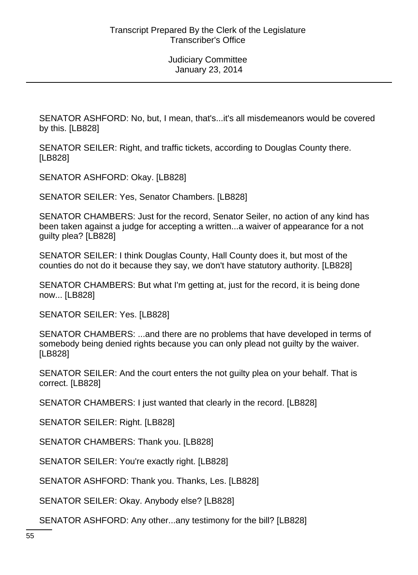SENATOR ASHFORD: No, but, I mean, that's...it's all misdemeanors would be covered by this. [LB828]

SENATOR SEILER: Right, and traffic tickets, according to Douglas County there. [LB828]

SENATOR ASHFORD: Okay. [LB828]

SENATOR SEILER: Yes, Senator Chambers. [LB828]

SENATOR CHAMBERS: Just for the record, Senator Seiler, no action of any kind has been taken against a judge for accepting a written...a waiver of appearance for a not guilty plea? [LB828]

SENATOR SEILER: I think Douglas County, Hall County does it, but most of the counties do not do it because they say, we don't have statutory authority. [LB828]

SENATOR CHAMBERS: But what I'm getting at, just for the record, it is being done now... [LB828]

SENATOR SEILER: Yes. [LB828]

SENATOR CHAMBERS: ...and there are no problems that have developed in terms of somebody being denied rights because you can only plead not guilty by the waiver. [LB828]

SENATOR SEILER: And the court enters the not guilty plea on your behalf. That is correct. [LB828]

SENATOR CHAMBERS: I just wanted that clearly in the record. [LB828]

SENATOR SEILER: Right. [LB828]

SENATOR CHAMBERS: Thank you. [LB828]

SENATOR SEILER: You're exactly right. [LB828]

SENATOR ASHFORD: Thank you. Thanks, Les. [LB828]

SENATOR SEILER: Okay. Anybody else? [LB828]

SENATOR ASHFORD: Any other...any testimony for the bill? [LB828]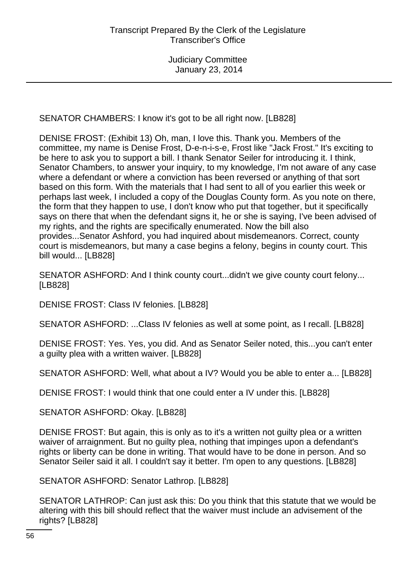SENATOR CHAMBERS: I know it's got to be all right now. [LB828]

DENISE FROST: (Exhibit 13) Oh, man, I love this. Thank you. Members of the committee, my name is Denise Frost, D-e-n-i-s-e, Frost like "Jack Frost." It's exciting to be here to ask you to support a bill. I thank Senator Seiler for introducing it. I think, Senator Chambers, to answer your inquiry, to my knowledge, I'm not aware of any case where a defendant or where a conviction has been reversed or anything of that sort based on this form. With the materials that I had sent to all of you earlier this week or perhaps last week, I included a copy of the Douglas County form. As you note on there, the form that they happen to use, I don't know who put that together, but it specifically says on there that when the defendant signs it, he or she is saying, I've been advised of my rights, and the rights are specifically enumerated. Now the bill also provides...Senator Ashford, you had inquired about misdemeanors. Correct, county court is misdemeanors, but many a case begins a felony, begins in county court. This bill would... [LB828]

SENATOR ASHFORD: And I think county court...didn't we give county court felony... [LB828]

DENISE FROST: Class IV felonies. [LB828]

SENATOR ASHFORD: ...Class IV felonies as well at some point, as I recall. [LB828]

DENISE FROST: Yes. Yes, you did. And as Senator Seiler noted, this...you can't enter a guilty plea with a written waiver. [LB828]

SENATOR ASHFORD: Well, what about a IV? Would you be able to enter a... [LB828]

DENISE FROST: I would think that one could enter a IV under this. [LB828]

SENATOR ASHFORD: Okay. [LB828]

DENISE FROST: But again, this is only as to it's a written not guilty plea or a written waiver of arraignment. But no guilty plea, nothing that impinges upon a defendant's rights or liberty can be done in writing. That would have to be done in person. And so Senator Seiler said it all. I couldn't say it better. I'm open to any questions. [LB828]

SENATOR ASHFORD: Senator Lathrop. [LB828]

SENATOR LATHROP: Can just ask this: Do you think that this statute that we would be altering with this bill should reflect that the waiver must include an advisement of the rights? [LB828]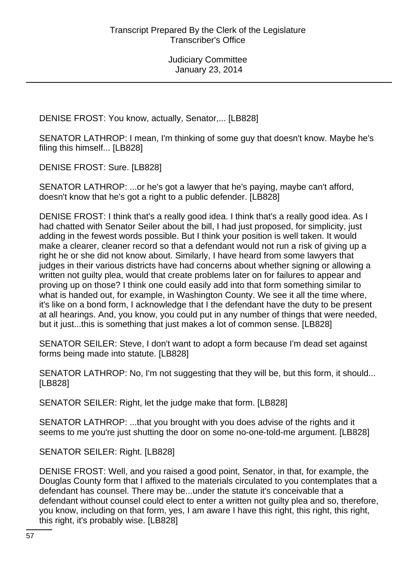DENISE FROST: You know, actually, Senator,... [LB828]

SENATOR LATHROP: I mean, I'm thinking of some guy that doesn't know. Maybe he's filing this himself... [LB828]

DENISE FROST: Sure. [LB828]

SENATOR LATHROP: ...or he's got a lawyer that he's paying, maybe can't afford, doesn't know that he's got a right to a public defender. [LB828]

DENISE FROST: I think that's a really good idea. I think that's a really good idea. As I had chatted with Senator Seiler about the bill, I had just proposed, for simplicity, just adding in the fewest words possible. But I think your position is well taken. It would make a clearer, cleaner record so that a defendant would not run a risk of giving up a right he or she did not know about. Similarly, I have heard from some lawyers that judges in their various districts have had concerns about whether signing or allowing a written not guilty plea, would that create problems later on for failures to appear and proving up on those? I think one could easily add into that form something similar to what is handed out, for example, in Washington County. We see it all the time where, it's like on a bond form, I acknowledge that I the defendant have the duty to be present at all hearings. And, you know, you could put in any number of things that were needed, but it just...this is something that just makes a lot of common sense. [LB828]

SENATOR SEILER: Steve, I don't want to adopt a form because I'm dead set against forms being made into statute. [LB828]

SENATOR LATHROP: No, I'm not suggesting that they will be, but this form, it should... [LB828]

SENATOR SEILER: Right, let the judge make that form. [LB828]

SENATOR LATHROP: ...that you brought with you does advise of the rights and it seems to me you're just shutting the door on some no-one-told-me argument. [LB828]

SENATOR SEILER: Right. [LB828]

DENISE FROST: Well, and you raised a good point, Senator, in that, for example, the Douglas County form that I affixed to the materials circulated to you contemplates that a defendant has counsel. There may be...under the statute it's conceivable that a defendant without counsel could elect to enter a written not guilty plea and so, therefore, you know, including on that form, yes, I am aware I have this right, this right, this right, this right, it's probably wise. [LB828]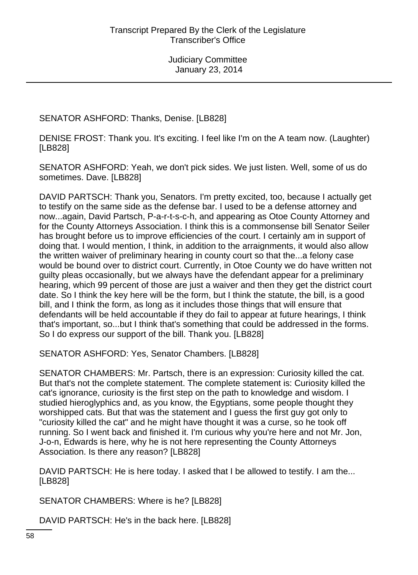SENATOR ASHFORD: Thanks, Denise. [LB828]

DENISE FROST: Thank you. It's exciting. I feel like I'm on the A team now. (Laughter) [LB828]

SENATOR ASHFORD: Yeah, we don't pick sides. We just listen. Well, some of us do sometimes. Dave. [LB828]

DAVID PARTSCH: Thank you, Senators. I'm pretty excited, too, because I actually get to testify on the same side as the defense bar. I used to be a defense attorney and now...again, David Partsch, P-a-r-t-s-c-h, and appearing as Otoe County Attorney and for the County Attorneys Association. I think this is a commonsense bill Senator Seiler has brought before us to improve efficiencies of the court. I certainly am in support of doing that. I would mention, I think, in addition to the arraignments, it would also allow the written waiver of preliminary hearing in county court so that the...a felony case would be bound over to district court. Currently, in Otoe County we do have written not guilty pleas occasionally, but we always have the defendant appear for a preliminary hearing, which 99 percent of those are just a waiver and then they get the district court date. So I think the key here will be the form, but I think the statute, the bill, is a good bill, and I think the form, as long as it includes those things that will ensure that defendants will be held accountable if they do fail to appear at future hearings, I think that's important, so...but I think that's something that could be addressed in the forms. So I do express our support of the bill. Thank you. [LB828]

SENATOR ASHFORD: Yes, Senator Chambers. [LB828]

SENATOR CHAMBERS: Mr. Partsch, there is an expression: Curiosity killed the cat. But that's not the complete statement. The complete statement is: Curiosity killed the cat's ignorance, curiosity is the first step on the path to knowledge and wisdom. I studied hieroglyphics and, as you know, the Egyptians, some people thought they worshipped cats. But that was the statement and I guess the first guy got only to "curiosity killed the cat" and he might have thought it was a curse, so he took off running. So I went back and finished it. I'm curious why you're here and not Mr. Jon, J-o-n, Edwards is here, why he is not here representing the County Attorneys Association. Is there any reason? [LB828]

DAVID PARTSCH: He is here today. I asked that I be allowed to testify. I am the... [LB828]

SENATOR CHAMBERS: Where is he? [LB828]

DAVID PARTSCH: He's in the back here. [LB828]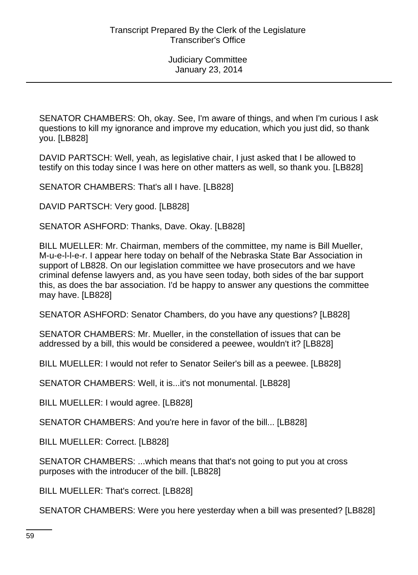SENATOR CHAMBERS: Oh, okay. See, I'm aware of things, and when I'm curious I ask questions to kill my ignorance and improve my education, which you just did, so thank you. [LB828]

DAVID PARTSCH: Well, yeah, as legislative chair, I just asked that I be allowed to testify on this today since I was here on other matters as well, so thank you. [LB828]

SENATOR CHAMBERS: That's all I have. [LB828]

DAVID PARTSCH: Very good. [LB828]

SENATOR ASHFORD: Thanks, Dave. Okay. [LB828]

BILL MUELLER: Mr. Chairman, members of the committee, my name is Bill Mueller, M-u-e-l-l-e-r. I appear here today on behalf of the Nebraska State Bar Association in support of LB828. On our legislation committee we have prosecutors and we have criminal defense lawyers and, as you have seen today, both sides of the bar support this, as does the bar association. I'd be happy to answer any questions the committee may have. [LB828]

SENATOR ASHFORD: Senator Chambers, do you have any questions? [LB828]

SENATOR CHAMBERS: Mr. Mueller, in the constellation of issues that can be addressed by a bill, this would be considered a peewee, wouldn't it? [LB828]

BILL MUELLER: I would not refer to Senator Seiler's bill as a peewee. [LB828]

SENATOR CHAMBERS: Well, it is...it's not monumental. [LB828]

BILL MUELLER: I would agree. [LB828]

SENATOR CHAMBERS: And you're here in favor of the bill... [LB828]

BILL MUELLER: Correct. [LB828]

SENATOR CHAMBERS: ...which means that that's not going to put you at cross purposes with the introducer of the bill. [LB828]

BILL MUELLER: That's correct. [LB828]

SENATOR CHAMBERS: Were you here yesterday when a bill was presented? [LB828]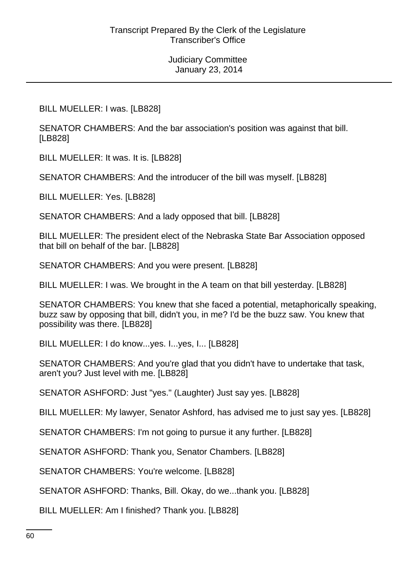BILL MUELLER: I was. [LB828]

SENATOR CHAMBERS: And the bar association's position was against that bill. [LB828]

BILL MUELLER: It was. It is. [LB828]

SENATOR CHAMBERS: And the introducer of the bill was myself. [LB828]

BILL MUELLER: Yes. [LB828]

SENATOR CHAMBERS: And a lady opposed that bill. [LB828]

BILL MUELLER: The president elect of the Nebraska State Bar Association opposed that bill on behalf of the bar. [LB828]

SENATOR CHAMBERS: And you were present. [LB828]

BILL MUELLER: I was. We brought in the A team on that bill yesterday. [LB828]

SENATOR CHAMBERS: You knew that she faced a potential, metaphorically speaking, buzz saw by opposing that bill, didn't you, in me? I'd be the buzz saw. You knew that possibility was there. [LB828]

BILL MUELLER: I do know...yes. I...yes, I... [LB828]

SENATOR CHAMBERS: And you're glad that you didn't have to undertake that task, aren't you? Just level with me. [LB828]

SENATOR ASHFORD: Just "yes." (Laughter) Just say yes. [LB828]

BILL MUELLER: My lawyer, Senator Ashford, has advised me to just say yes. [LB828]

SENATOR CHAMBERS: I'm not going to pursue it any further. [LB828]

SENATOR ASHFORD: Thank you, Senator Chambers. [LB828]

SENATOR CHAMBERS: You're welcome. [LB828]

SENATOR ASHFORD: Thanks, Bill. Okay, do we...thank you. [LB828]

BILL MUELLER: Am I finished? Thank you. [LB828]